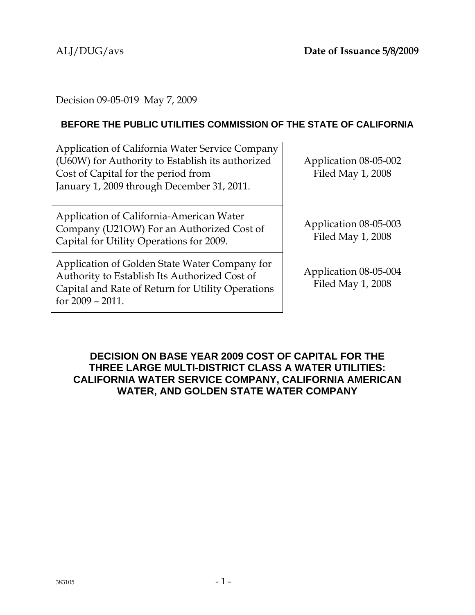Decision 09-05-019 May 7, 2009

## **BEFORE THE PUBLIC UTILITIES COMMISSION OF THE STATE OF CALIFORNIA**

Application of California Water Service Company (U60W) for Authority to Establish its authorized Cost of Capital for the period from January 1, 2009 through December 31, 2011.

Application of California-American Water Company (U21OW) For an Authorized Cost of Capital for Utility Operations for 2009.

Application of Golden State Water Company for Authority to Establish Its Authorized Cost of Capital and Rate of Return for Utility Operations for 2009 – 2011.

Application 08-05-002 Filed May 1, 2008

Application 08-05-003 Filed May 1, 2008

Application 08-05-004 Filed May 1, 2008

## **DECISION ON BASE YEAR 2009 COST OF CAPITAL FOR THE THREE LARGE MULTI-DISTRICT CLASS A WATER UTILITIES: CALIFORNIA WATER SERVICE COMPANY, CALIFORNIA AMERICAN WATER, AND GOLDEN STATE WATER COMPANY**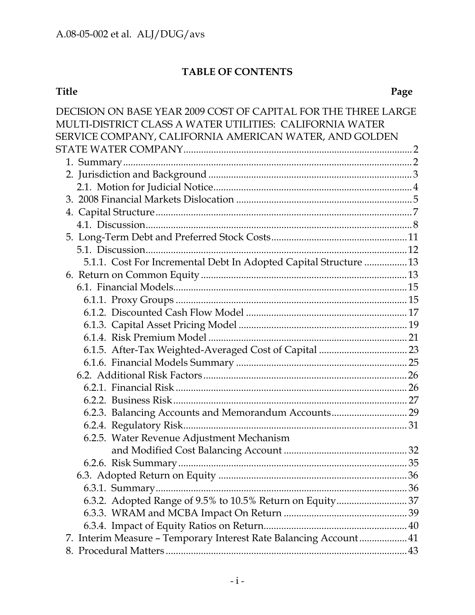## **TABLE OF CONTENTS**

### **Title Page**

| DECISION ON BASE YEAR 2009 COST OF CAPITAL FOR THE THREE LARGE    |    |
|-------------------------------------------------------------------|----|
| MULTI-DISTRICT CLASS A WATER UTILITIES: CALIFORNIA WATER          |    |
| SERVICE COMPANY, CALIFORNIA AMERICAN WATER, AND GOLDEN            |    |
|                                                                   |    |
|                                                                   |    |
|                                                                   |    |
|                                                                   |    |
|                                                                   |    |
|                                                                   |    |
|                                                                   |    |
|                                                                   |    |
|                                                                   |    |
| 5.1.1. Cost For Incremental Debt In Adopted Capital Structure  13 |    |
|                                                                   |    |
|                                                                   |    |
|                                                                   |    |
|                                                                   |    |
|                                                                   |    |
|                                                                   |    |
|                                                                   |    |
|                                                                   |    |
|                                                                   |    |
|                                                                   |    |
|                                                                   |    |
| 6.2.3. Balancing Accounts and Memorandum Accounts 29              |    |
|                                                                   |    |
| 6.2.5. Water Revenue Adjustment Mechanism                         |    |
|                                                                   | 32 |
|                                                                   |    |
|                                                                   |    |
|                                                                   |    |
|                                                                   |    |
|                                                                   |    |
| 7. Interim Measure - Temporary Interest Rate Balancing Account 41 |    |
|                                                                   |    |
|                                                                   |    |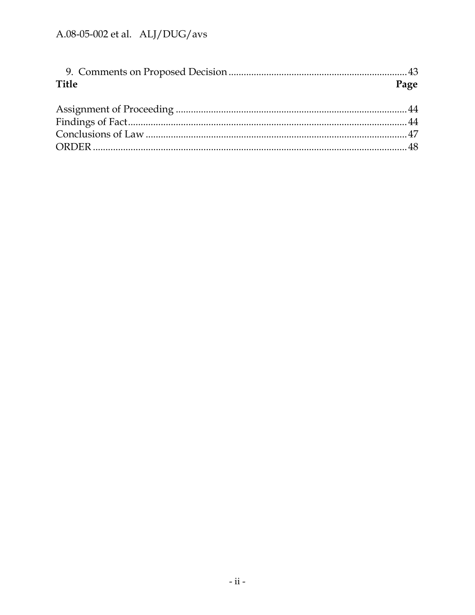| Page |
|------|
|      |
|      |
|      |
|      |
|      |
|      |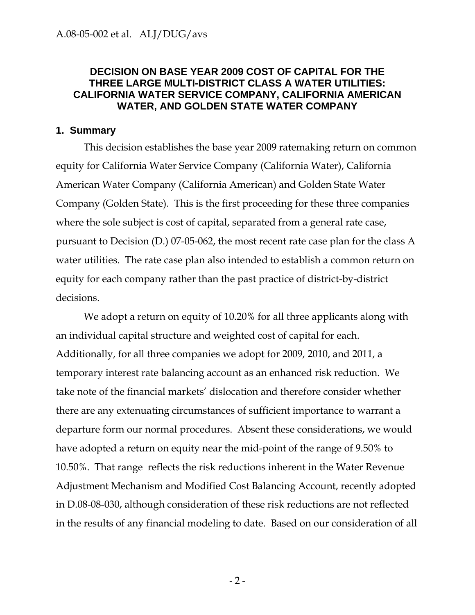### **DECISION ON BASE YEAR 2009 COST OF CAPITAL FOR THE THREE LARGE MULTI-DISTRICT CLASS A WATER UTILITIES: CALIFORNIA WATER SERVICE COMPANY, CALIFORNIA AMERICAN WATER, AND GOLDEN STATE WATER COMPANY**

### **1. Summary**

This decision establishes the base year 2009 ratemaking return on common equity for California Water Service Company (California Water), California American Water Company (California American) and Golden State Water Company (Golden State). This is the first proceeding for these three companies where the sole subject is cost of capital, separated from a general rate case, pursuant to Decision (D.) 07-05-062, the most recent rate case plan for the class A water utilities. The rate case plan also intended to establish a common return on equity for each company rather than the past practice of district-by-district decisions.

We adopt a return on equity of 10.20% for all three applicants along with an individual capital structure and weighted cost of capital for each. Additionally, for all three companies we adopt for 2009, 2010, and 2011, a temporary interest rate balancing account as an enhanced risk reduction. We take note of the financial markets' dislocation and therefore consider whether there are any extenuating circumstances of sufficient importance to warrant a departure form our normal procedures. Absent these considerations, we would have adopted a return on equity near the mid-point of the range of 9.50% to 10.50%. That range reflects the risk reductions inherent in the Water Revenue Adjustment Mechanism and Modified Cost Balancing Account, recently adopted in D.08-08-030, although consideration of these risk reductions are not reflected in the results of any financial modeling to date. Based on our consideration of all

 $-2-$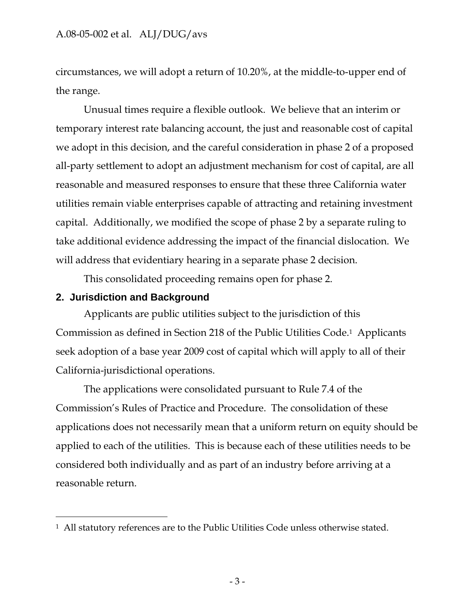circumstances, we will adopt a return of 10.20%, at the middle-to-upper end of the range.

Unusual times require a flexible outlook. We believe that an interim or temporary interest rate balancing account, the just and reasonable cost of capital we adopt in this decision, and the careful consideration in phase 2 of a proposed all-party settlement to adopt an adjustment mechanism for cost of capital, are all reasonable and measured responses to ensure that these three California water utilities remain viable enterprises capable of attracting and retaining investment capital. Additionally, we modified the scope of phase 2 by a separate ruling to take additional evidence addressing the impact of the financial dislocation. We will address that evidentiary hearing in a separate phase 2 decision.

This consolidated proceeding remains open for phase 2.

## **2. Jurisdiction and Background**

-

Applicants are public utilities subject to the jurisdiction of this Commission as defined in Section 218 of the Public Utilities Code.1 Applicants seek adoption of a base year 2009 cost of capital which will apply to all of their California-jurisdictional operations.

The applications were consolidated pursuant to Rule 7.4 of the Commission's Rules of Practice and Procedure. The consolidation of these applications does not necessarily mean that a uniform return on equity should be applied to each of the utilities. This is because each of these utilities needs to be considered both individually and as part of an industry before arriving at a reasonable return.

<sup>1</sup> All statutory references are to the Public Utilities Code unless otherwise stated.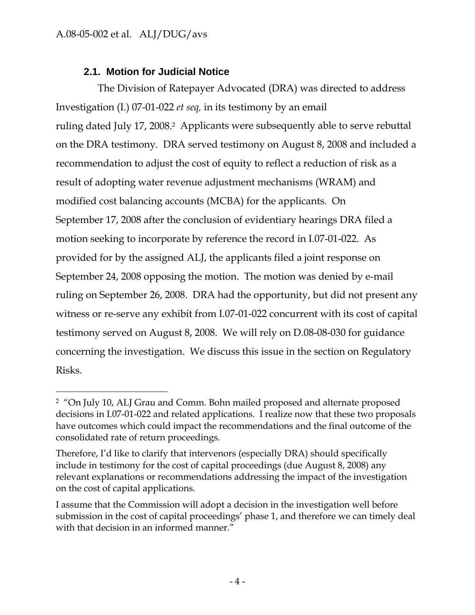-

## **2.1. Motion for Judicial Notice**

The Division of Ratepayer Advocated (DRA) was directed to address Investigation (I.) 07-01-022 *et seq,* in its testimony by an email ruling dated July 17, 2008.<sup>2</sup> Applicants were subsequently able to serve rebuttal on the DRA testimony. DRA served testimony on August 8, 2008 and included a recommendation to adjust the cost of equity to reflect a reduction of risk as a result of adopting water revenue adjustment mechanisms (WRAM) and modified cost balancing accounts (MCBA) for the applicants. On September 17, 2008 after the conclusion of evidentiary hearings DRA filed a motion seeking to incorporate by reference the record in I.07-01-022. As provided for by the assigned ALJ, the applicants filed a joint response on September 24, 2008 opposing the motion. The motion was denied by e-mail ruling on September 26, 2008. DRA had the opportunity, but did not present any witness or re-serve any exhibit from I.07-01-022 concurrent with its cost of capital testimony served on August 8, 2008. We will rely on D.08-08-030 for guidance concerning the investigation. We discuss this issue in the section on Regulatory Risks.

<sup>2 &</sup>quot;On July 10, ALJ Grau and Comm. Bohn mailed proposed and alternate proposed decisions in I.07-01-022 and related applications. I realize now that these two proposals have outcomes which could impact the recommendations and the final outcome of the consolidated rate of return proceedings.

Therefore, I'd like to clarify that intervenors (especially DRA) should specifically include in testimony for the cost of capital proceedings (due August 8, 2008) any relevant explanations or recommendations addressing the impact of the investigation on the cost of capital applications.

I assume that the Commission will adopt a decision in the investigation well before submission in the cost of capital proceedings' phase 1, and therefore we can timely deal with that decision in an informed manner."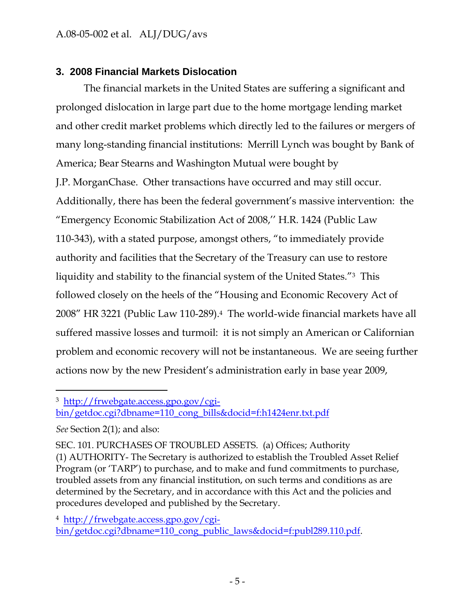## **3. 2008 Financial Markets Dislocation**

The financial markets in the United States are suffering a significant and prolonged dislocation in large part due to the home mortgage lending market and other credit market problems which directly led to the failures or mergers of many long-standing financial institutions: Merrill Lynch was bought by Bank of America; Bear Stearns and Washington Mutual were bought by J.P. MorganChase. Other transactions have occurred and may still occur. Additionally, there has been the federal government's massive intervention: the "Emergency Economic Stabilization Act of 2008,'' H.R. 1424 (Public Law 110-343), with a stated purpose, amongst others, "to immediately provide authority and facilities that the Secretary of the Treasury can use to restore liquidity and stability to the financial system of the United States."3 This followed closely on the heels of the "Housing and Economic Recovery Act of 2008" HR 3221 (Public Law 110-289).4 The world-wide financial markets have all suffered massive losses and turmoil: it is not simply an American or Californian problem and economic recovery will not be instantaneous. We are seeing further actions now by the new President's administration early in base year 2009,

3 http://frwebgate.access.gpo.gov/cgi-

 $\overline{a}$ 

4 http://frwebgate.access.gpo.gov/cgi-

bin/getdoc.cgi?dbname=110\_cong\_public\_laws&docid=f:publ289.110.pdf.

bin/getdoc.cgi?dbname=110\_cong\_bills&docid=f:h1424enr.txt.pdf

*See* Section 2(1); and also:

SEC. 101. PURCHASES OF TROUBLED ASSETS. (a) Offices; Authority (1) AUTHORITY- The Secretary is authorized to establish the Troubled Asset Relief Program (or 'TARP') to purchase, and to make and fund commitments to purchase, troubled assets from any financial institution, on such terms and conditions as are determined by the Secretary, and in accordance with this Act and the policies and procedures developed and published by the Secretary.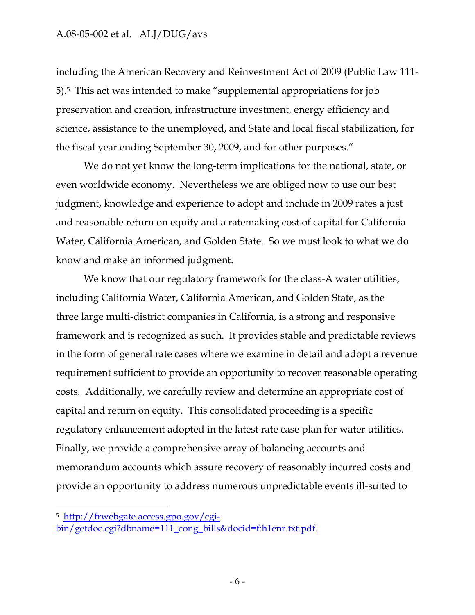including the American Recovery and Reinvestment Act of 2009 (Public Law 111- 5).5 This act was intended to make "supplemental appropriations for job preservation and creation, infrastructure investment, energy efficiency and science, assistance to the unemployed, and State and local fiscal stabilization, for the fiscal year ending September 30, 2009, and for other purposes."

We do not yet know the long-term implications for the national, state, or even worldwide economy. Nevertheless we are obliged now to use our best judgment, knowledge and experience to adopt and include in 2009 rates a just and reasonable return on equity and a ratemaking cost of capital for California Water, California American, and Golden State. So we must look to what we do know and make an informed judgment.

We know that our regulatory framework for the class-A water utilities, including California Water, California American, and Golden State, as the three large multi-district companies in California, is a strong and responsive framework and is recognized as such. It provides stable and predictable reviews in the form of general rate cases where we examine in detail and adopt a revenue requirement sufficient to provide an opportunity to recover reasonable operating costs. Additionally, we carefully review and determine an appropriate cost of capital and return on equity. This consolidated proceeding is a specific regulatory enhancement adopted in the latest rate case plan for water utilities. Finally, we provide a comprehensive array of balancing accounts and memorandum accounts which assure recovery of reasonably incurred costs and provide an opportunity to address numerous unpredictable events ill-suited to

 $\overline{a}$ 

<sup>5</sup> http://frwebgate.access.gpo.gov/cgi-

bin/getdoc.cgi?dbname=111\_cong\_bills&docid=f:h1enr.txt.pdf.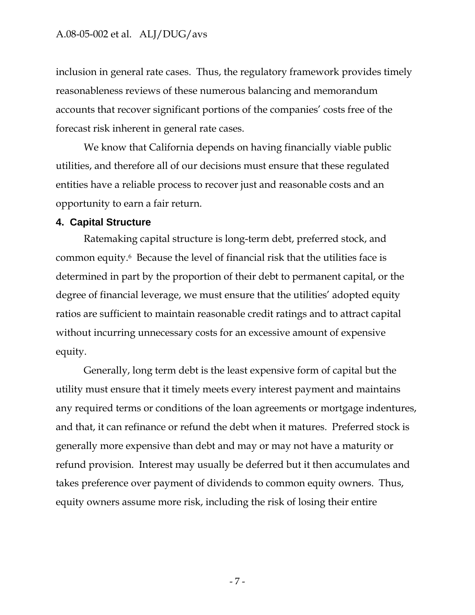inclusion in general rate cases. Thus, the regulatory framework provides timely reasonableness reviews of these numerous balancing and memorandum accounts that recover significant portions of the companies' costs free of the forecast risk inherent in general rate cases.

We know that California depends on having financially viable public utilities, and therefore all of our decisions must ensure that these regulated entities have a reliable process to recover just and reasonable costs and an opportunity to earn a fair return.

### **4. Capital Structure**

Ratemaking capital structure is long-term debt, preferred stock, and common equity.6 Because the level of financial risk that the utilities face is determined in part by the proportion of their debt to permanent capital, or the degree of financial leverage, we must ensure that the utilities' adopted equity ratios are sufficient to maintain reasonable credit ratings and to attract capital without incurring unnecessary costs for an excessive amount of expensive equity.

Generally, long term debt is the least expensive form of capital but the utility must ensure that it timely meets every interest payment and maintains any required terms or conditions of the loan agreements or mortgage indentures, and that, it can refinance or refund the debt when it matures. Preferred stock is generally more expensive than debt and may or may not have a maturity or refund provision. Interest may usually be deferred but it then accumulates and takes preference over payment of dividends to common equity owners. Thus, equity owners assume more risk, including the risk of losing their entire

- 7 -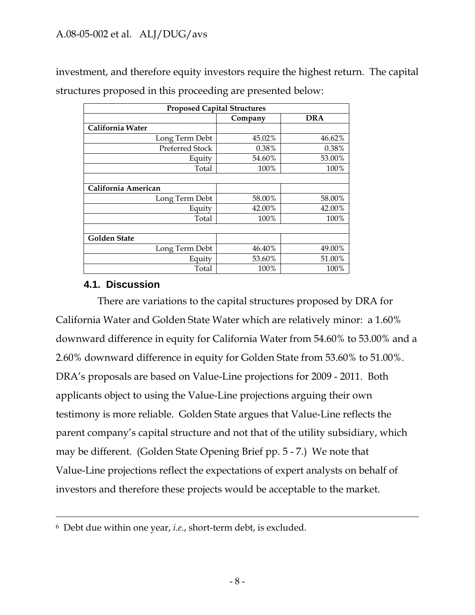investment, and therefore equity investors require the highest return. The capital structures proposed in this proceeding are presented below:

| <b>Proposed Capital Structures</b> |         |            |  |
|------------------------------------|---------|------------|--|
|                                    | Company | <b>DRA</b> |  |
| California Water                   |         |            |  |
| Long Term Debt                     | 45.02%  | 46.62%     |  |
| Preferred Stock                    | 0.38%   | 0.38%      |  |
| Equity                             | 54.60%  | 53.00%     |  |
| Total                              | 100%    | 100%       |  |
|                                    |         |            |  |
| California American                |         |            |  |
| Long Term Debt                     | 58.00%  | 58.00%     |  |
| Equity                             | 42.00%  | 42.00%     |  |
| Total                              | 100%    | 100%       |  |
|                                    |         |            |  |
| <b>Golden State</b>                |         |            |  |
| Long Term Debt                     | 46.40%  | 49.00%     |  |
| Equity                             | 53.60%  | 51.00%     |  |
| Total                              | 100%    | 100%       |  |

## **4.1. Discussion**

There are variations to the capital structures proposed by DRA for California Water and Golden State Water which are relatively minor: a 1.60% downward difference in equity for California Water from 54.60% to 53.00% and a 2.60% downward difference in equity for Golden State from 53.60% to 51.00%. DRA's proposals are based on Value-Line projections for 2009 - 2011. Both applicants object to using the Value-Line projections arguing their own testimony is more reliable. Golden State argues that Value-Line reflects the parent company's capital structure and not that of the utility subsidiary, which may be different. (Golden State Opening Brief pp. 5 - 7.) We note that Value-Line projections reflect the expectations of expert analysts on behalf of investors and therefore these projects would be acceptable to the market.

 <sup>6</sup> Debt due within one year, *i.e.*, short-term debt, is excluded.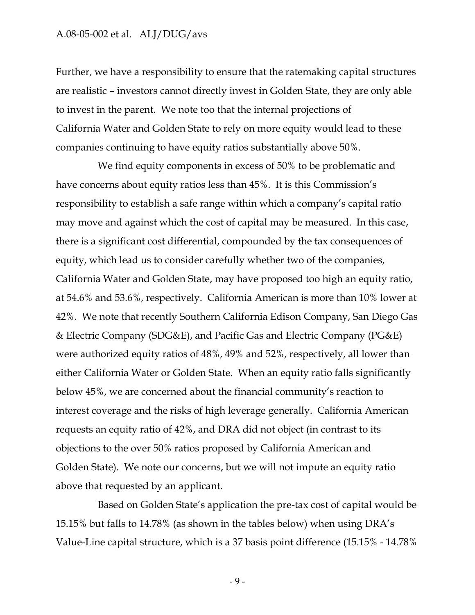Further, we have a responsibility to ensure that the ratemaking capital structures are realistic – investors cannot directly invest in Golden State, they are only able to invest in the parent. We note too that the internal projections of California Water and Golden State to rely on more equity would lead to these companies continuing to have equity ratios substantially above 50%.

We find equity components in excess of 50% to be problematic and have concerns about equity ratios less than 45%. It is this Commission's responsibility to establish a safe range within which a company's capital ratio may move and against which the cost of capital may be measured. In this case, there is a significant cost differential, compounded by the tax consequences of equity, which lead us to consider carefully whether two of the companies, California Water and Golden State, may have proposed too high an equity ratio, at 54.6% and 53.6%, respectively. California American is more than 10% lower at 42%. We note that recently Southern California Edison Company, San Diego Gas & Electric Company (SDG&E), and Pacific Gas and Electric Company (PG&E) were authorized equity ratios of 48%, 49% and 52%, respectively, all lower than either California Water or Golden State. When an equity ratio falls significantly below 45%, we are concerned about the financial community's reaction to interest coverage and the risks of high leverage generally. California American requests an equity ratio of 42%, and DRA did not object (in contrast to its objections to the over 50% ratios proposed by California American and Golden State). We note our concerns, but we will not impute an equity ratio above that requested by an applicant.

Based on Golden State's application the pre-tax cost of capital would be 15.15% but falls to 14.78% (as shown in the tables below) when using DRA's Value-Line capital structure, which is a 37 basis point difference (15.15% - 14.78%

- 9 -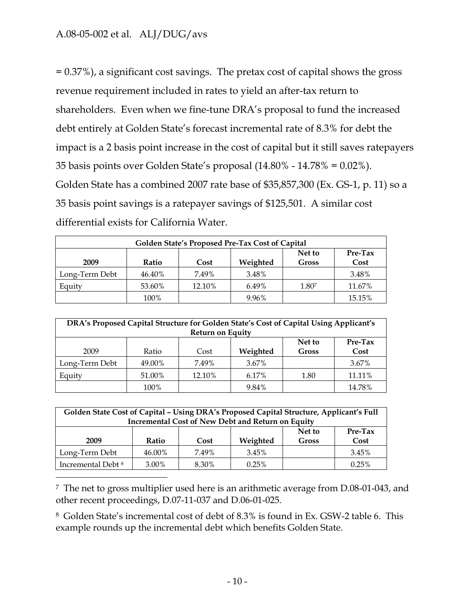$\overline{a}$ 

= 0.37%), a significant cost savings. The pretax cost of capital shows the gross revenue requirement included in rates to yield an after-tax return to shareholders. Even when we fine-tune DRA's proposal to fund the increased debt entirely at Golden State's forecast incremental rate of 8.3% for debt the impact is a 2 basis point increase in the cost of capital but it still saves ratepayers 35 basis points over Golden State's proposal (14.80% - 14.78% = 0.02%). Golden State has a combined 2007 rate base of \$35,857,300 (Ex. GS-1, p. 11) so a 35 basis point savings is a ratepayer savings of \$125,501. A similar cost differential exists for California Water.

| Golden State's Proposed Pre-Tax Cost of Capital |        |        |          |                        |                   |
|-------------------------------------------------|--------|--------|----------|------------------------|-------------------|
| 2009                                            | Ratio  | Cost   | Weighted | Net to<br><b>Gross</b> | $Pre-Tax$<br>Cost |
| Long-Term Debt                                  | 46.40% | 7.49%  | 3.48%    |                        | 3.48%             |
| Equity                                          | 53.60% | 12.10% | 6.49%    | 1.807                  | 11.67%            |
|                                                 | 100%   |        | 9.96%    |                        | 15.15%            |

| DRA's Proposed Capital Structure for Golden State's Cost of Capital Using Applicant's<br><b>Return on Equity</b> |        |        |          |                        |                   |
|------------------------------------------------------------------------------------------------------------------|--------|--------|----------|------------------------|-------------------|
| 2009                                                                                                             | Ratio  | Cost   | Weighted | Net to<br><b>Gross</b> | $Pre-Tax$<br>Cost |
| Long-Term Debt                                                                                                   | 49.00% | 7.49%  | 3.67%    |                        | 3.67%             |
| Equity                                                                                                           | 51.00% | 12.10% | 6.17%    | 1.80                   | 11.11%            |
|                                                                                                                  | 100%   |        | 9.84%    |                        | 14.78%            |

| Golden State Cost of Capital - Using DRA's Proposed Capital Structure, Applicant's Full<br><b>Incremental Cost of New Debt and Return on Equity</b> |        |       |          |                        |                 |
|-----------------------------------------------------------------------------------------------------------------------------------------------------|--------|-------|----------|------------------------|-----------------|
| 2009                                                                                                                                                | Ratio  | Cost  | Weighted | Net to<br><b>Gross</b> | Pre-Tax<br>Cost |
| Long-Term Debt                                                                                                                                      | 46.00% | 7.49% | 3.45%    |                        | 3.45%           |
| Incremental Debt <sup>8</sup>                                                                                                                       | 3.00%  | 8.30% | $0.25\%$ |                        | 0.25%           |

7 The net to gross multiplier used here is an arithmetic average from D.08-01-043, and other recent proceedings, D.07-11-037 and D.06-01-025.

8 Golden State's incremental cost of debt of 8.3% is found in Ex. GSW-2 table 6. This example rounds up the incremental debt which benefits Golden State.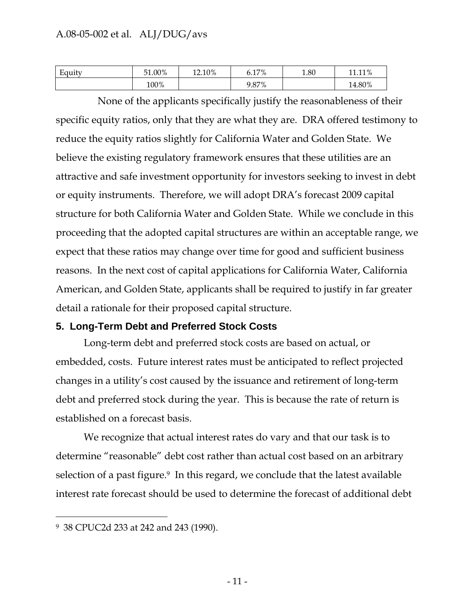| Equity | 51.00% | 12.10% | 17%   | 1.80 | 110/<br>11<br>. 1170 |
|--------|--------|--------|-------|------|----------------------|
|        | 100%   |        | 9.87% |      | 14.80%               |

None of the applicants specifically justify the reasonableness of their specific equity ratios, only that they are what they are. DRA offered testimony to reduce the equity ratios slightly for California Water and Golden State. We believe the existing regulatory framework ensures that these utilities are an attractive and safe investment opportunity for investors seeking to invest in debt or equity instruments. Therefore, we will adopt DRA's forecast 2009 capital structure for both California Water and Golden State. While we conclude in this proceeding that the adopted capital structures are within an acceptable range, we expect that these ratios may change over time for good and sufficient business reasons. In the next cost of capital applications for California Water, California American, and Golden State, applicants shall be required to justify in far greater detail a rationale for their proposed capital structure.

### **5. Long-Term Debt and Preferred Stock Costs**

Long-term debt and preferred stock costs are based on actual, or embedded, costs. Future interest rates must be anticipated to reflect projected changes in a utility's cost caused by the issuance and retirement of long-term debt and preferred stock during the year. This is because the rate of return is established on a forecast basis.

We recognize that actual interest rates do vary and that our task is to determine "reasonable" debt cost rather than actual cost based on an arbitrary selection of a past figure.<sup>9</sup> In this regard, we conclude that the latest available interest rate forecast should be used to determine the forecast of additional debt

 $\overline{a}$ 

<sup>9 38</sup> CPUC2d 233 at 242 and 243 (1990).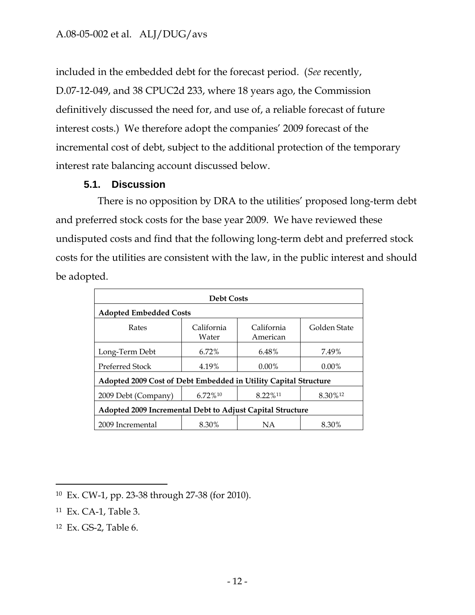included in the embedded debt for the forecast period. (*See* recently, D.07-12-049, and 38 CPUC2d 233, where 18 years ago, the Commission definitively discussed the need for, and use of, a reliable forecast of future interest costs.) We therefore adopt the companies' 2009 forecast of the incremental cost of debt, subject to the additional protection of the temporary interest rate balancing account discussed below.

## **5.1. Discussion**

There is no opposition by DRA to the utilities' proposed long-term debt and preferred stock costs for the base year 2009. We have reviewed these undisputed costs and find that the following long-term debt and preferred stock costs for the utilities are consistent with the law, in the public interest and should be adopted.

| <b>Debt Costs</b>                                               |                     |                        |              |  |
|-----------------------------------------------------------------|---------------------|------------------------|--------------|--|
| <b>Adopted Embedded Costs</b>                                   |                     |                        |              |  |
| Rates                                                           | California<br>Water | California<br>American | Golden State |  |
| Long-Term Debt                                                  | $6.72\%$            | 6.48%                  | 7.49%        |  |
| Preferred Stock                                                 | 4.19%               | $0.00\%$               | $0.00\%$     |  |
| Adopted 2009 Cost of Debt Embedded in Utility Capital Structure |                     |                        |              |  |
| 2009 Debt (Company)                                             | 6.72%10             | 8.22%11                | 8.30%12      |  |
| Adopted 2009 Incremental Debt to Adjust Capital Structure       |                     |                        |              |  |
| 2009 Incremental                                                | 8.30%               | <b>NA</b>              | 8.30%        |  |

 $\overline{a}$ 10 Ex. CW-1, pp. 23-38 through 27-38 (for 2010).

<sup>11</sup> Ex. CA-1, Table 3.

<sup>12</sup> Ex. GS-2, Table 6.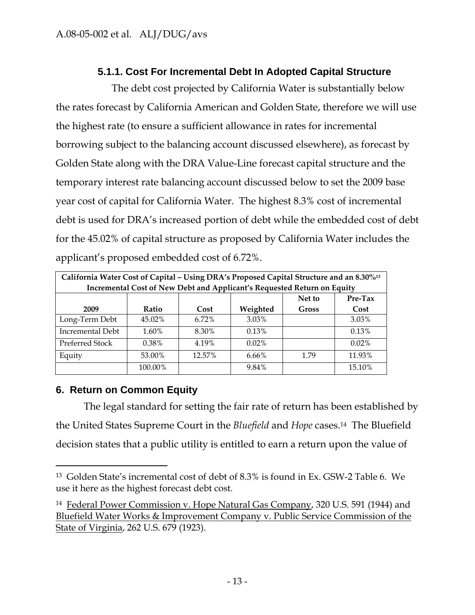## **5.1.1. Cost For Incremental Debt In Adopted Capital Structure**

The debt cost projected by California Water is substantially below the rates forecast by California American and Golden State, therefore we will use the highest rate (to ensure a sufficient allowance in rates for incremental borrowing subject to the balancing account discussed elsewhere), as forecast by Golden State along with the DRA Value-Line forecast capital structure and the temporary interest rate balancing account discussed below to set the 2009 base year cost of capital for California Water. The highest 8.3% cost of incremental debt is used for DRA's increased portion of debt while the embedded cost of debt for the 45.02% of capital structure as proposed by California Water includes the applicant's proposed embedded cost of 6.72%.

| California Water Cost of Capital – Using DRA's Proposed Capital Structure and an 8.30% <sup>13</sup> |          |          |                                                                         |              |          |
|------------------------------------------------------------------------------------------------------|----------|----------|-------------------------------------------------------------------------|--------------|----------|
|                                                                                                      |          |          | Incremental Cost of New Debt and Applicant's Requested Return on Equity |              |          |
|                                                                                                      |          |          |                                                                         | Net to       | Pre-Tax  |
| 2009                                                                                                 | Ratio    | Cost     | Weighted                                                                | <b>Gross</b> | Cost     |
| Long-Term Debt                                                                                       | 45.02%   | $6.72\%$ | $3.03\%$                                                                |              | 3.03%    |
| Incremental Debt                                                                                     | 1.60%    | 8.30%    | 0.13%                                                                   |              | 0.13%    |
| Preferred Stock                                                                                      | $0.38\%$ | 4.19%    | $0.02\%$                                                                |              | $0.02\%$ |
| Equity                                                                                               | 53.00%   | 12.57%   | 6.66%                                                                   | 1.79         | 11.93%   |
|                                                                                                      | 100.00%  |          | 9.84%                                                                   |              | 15.10%   |

## **6. Return on Common Equity**

 $\overline{a}$ 

The legal standard for setting the fair rate of return has been established by the United States Supreme Court in the *Bluefield* and *Hope* cases.14 The Bluefield decision states that a public utility is entitled to earn a return upon the value of

<sup>13</sup> Golden State's incremental cost of debt of 8.3% is found in Ex. GSW-2 Table 6. We use it here as the highest forecast debt cost.

<sup>14</sup> Federal Power Commission v. Hope Natural Gas Company, 320 U.S. 591 (1944) and Bluefield Water Works & Improvement Company v. Public Service Commission of the State of Virginia, 262 U.S. 679 (1923).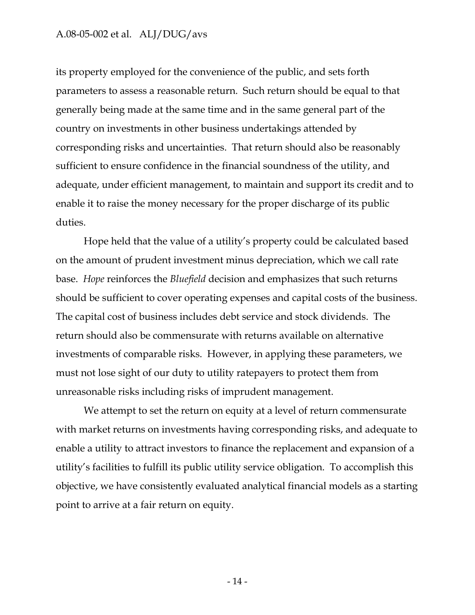its property employed for the convenience of the public, and sets forth parameters to assess a reasonable return. Such return should be equal to that generally being made at the same time and in the same general part of the country on investments in other business undertakings attended by corresponding risks and uncertainties. That return should also be reasonably sufficient to ensure confidence in the financial soundness of the utility, and adequate, under efficient management, to maintain and support its credit and to enable it to raise the money necessary for the proper discharge of its public duties.

Hope held that the value of a utility's property could be calculated based on the amount of prudent investment minus depreciation, which we call rate base. *Hope* reinforces the *Bluefield* decision and emphasizes that such returns should be sufficient to cover operating expenses and capital costs of the business. The capital cost of business includes debt service and stock dividends. The return should also be commensurate with returns available on alternative investments of comparable risks. However, in applying these parameters, we must not lose sight of our duty to utility ratepayers to protect them from unreasonable risks including risks of imprudent management.

We attempt to set the return on equity at a level of return commensurate with market returns on investments having corresponding risks, and adequate to enable a utility to attract investors to finance the replacement and expansion of a utility's facilities to fulfill its public utility service obligation. To accomplish this objective, we have consistently evaluated analytical financial models as a starting point to arrive at a fair return on equity.

- 14 -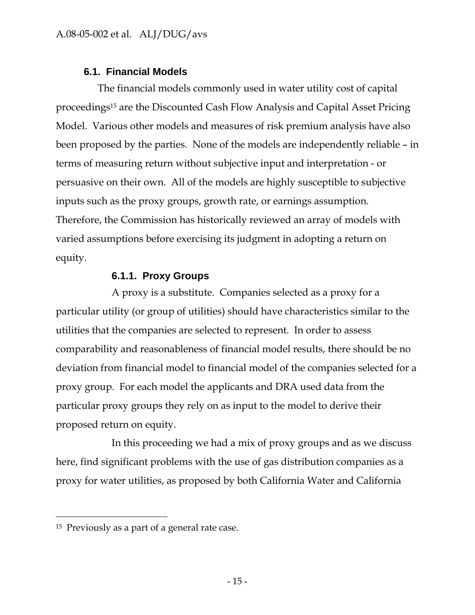## **6.1. Financial Models**

The financial models commonly used in water utility cost of capital proceedings15 are the Discounted Cash Flow Analysis and Capital Asset Pricing Model. Various other models and measures of risk premium analysis have also been proposed by the parties. None of the models are independently reliable – in terms of measuring return without subjective input and interpretation - or persuasive on their own. All of the models are highly susceptible to subjective inputs such as the proxy groups, growth rate, or earnings assumption. Therefore, the Commission has historically reviewed an array of models with varied assumptions before exercising its judgment in adopting a return on equity.

## **6.1.1. Proxy Groups**

A proxy is a substitute. Companies selected as a proxy for a particular utility (or group of utilities) should have characteristics similar to the utilities that the companies are selected to represent. In order to assess comparability and reasonableness of financial model results, there should be no deviation from financial model to financial model of the companies selected for a proxy group. For each model the applicants and DRA used data from the particular proxy groups they rely on as input to the model to derive their proposed return on equity.

In this proceeding we had a mix of proxy groups and as we discuss here, find significant problems with the use of gas distribution companies as a proxy for water utilities, as proposed by both California Water and California

 $\overline{a}$ 

<sup>15</sup> Previously as a part of a general rate case.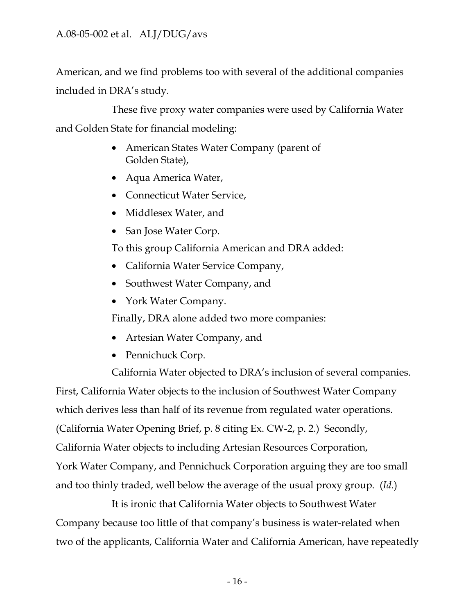American, and we find problems too with several of the additional companies included in DRA's study.

These five proxy water companies were used by California Water and Golden State for financial modeling:

- American States Water Company (parent of Golden State),
- Aqua America Water,
- Connecticut Water Service,
- Middlesex Water, and
- San Jose Water Corp.

To this group California American and DRA added:

- California Water Service Company,
- Southwest Water Company, and
- York Water Company.

Finally, DRA alone added two more companies:

- Artesian Water Company, and
- Pennichuck Corp.

California Water objected to DRA's inclusion of several companies.

First, California Water objects to the inclusion of Southwest Water Company which derives less than half of its revenue from regulated water operations. (California Water Opening Brief, p. 8 citing Ex. CW-2, p. 2.) Secondly, California Water objects to including Artesian Resources Corporation, York Water Company, and Pennichuck Corporation arguing they are too small and too thinly traded, well below the average of the usual proxy group. (*Id.*)

It is ironic that California Water objects to Southwest Water Company because too little of that company's business is water-related when two of the applicants, California Water and California American, have repeatedly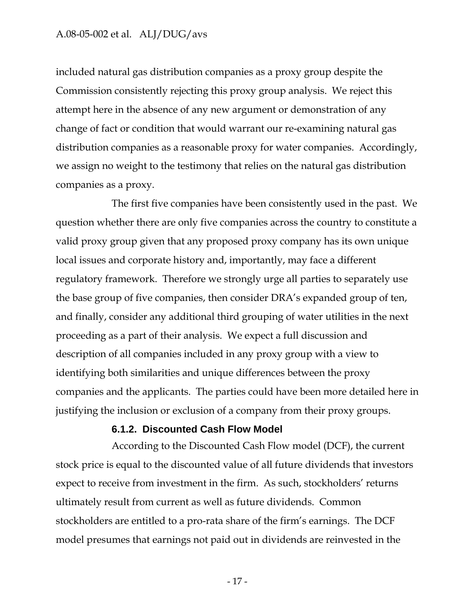included natural gas distribution companies as a proxy group despite the Commission consistently rejecting this proxy group analysis. We reject this attempt here in the absence of any new argument or demonstration of any change of fact or condition that would warrant our re-examining natural gas distribution companies as a reasonable proxy for water companies. Accordingly, we assign no weight to the testimony that relies on the natural gas distribution companies as a proxy.

The first five companies have been consistently used in the past. We question whether there are only five companies across the country to constitute a valid proxy group given that any proposed proxy company has its own unique local issues and corporate history and, importantly, may face a different regulatory framework. Therefore we strongly urge all parties to separately use the base group of five companies, then consider DRA's expanded group of ten, and finally, consider any additional third grouping of water utilities in the next proceeding as a part of their analysis. We expect a full discussion and description of all companies included in any proxy group with a view to identifying both similarities and unique differences between the proxy companies and the applicants. The parties could have been more detailed here in justifying the inclusion or exclusion of a company from their proxy groups.

#### **6.1.2. Discounted Cash Flow Model**

According to the Discounted Cash Flow model (DCF), the current stock price is equal to the discounted value of all future dividends that investors expect to receive from investment in the firm. As such, stockholders' returns ultimately result from current as well as future dividends. Common stockholders are entitled to a pro-rata share of the firm's earnings. The DCF model presumes that earnings not paid out in dividends are reinvested in the

- 17 -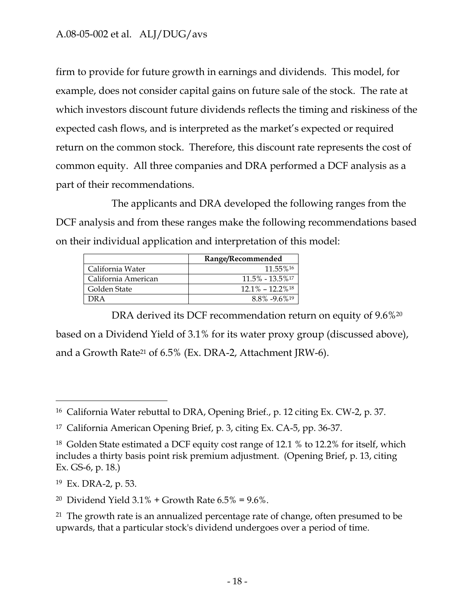firm to provide for future growth in earnings and dividends. This model, for example, does not consider capital gains on future sale of the stock. The rate at which investors discount future dividends reflects the timing and riskiness of the expected cash flows, and is interpreted as the market's expected or required return on the common stock. Therefore, this discount rate represents the cost of common equity. All three companies and DRA performed a DCF analysis as a part of their recommendations.

The applicants and DRA developed the following ranges from the DCF analysis and from these ranges make the following recommendations based on their individual application and interpretation of this model:

|                     | Range/Recommended               |
|---------------------|---------------------------------|
| California Water    | 11.55%16                        |
| California American | $11.5\% - 13.5\%$ <sup>17</sup> |
| Golden State        | $12.1\% - 12.2\%$ <sup>18</sup> |
| DR A                | $8.8\% - 9.6\%$ <sup>19</sup>   |

DRA derived its DCF recommendation return on equity of 9.6%<sup>20</sup> based on a Dividend Yield of 3.1% for its water proxy group (discussed above), and a Growth Rate21 of 6.5% (Ex. DRA-2, Attachment JRW-6).

 $\overline{a}$ 

<sup>16</sup> California Water rebuttal to DRA, Opening Brief., p. 12 citing Ex. CW-2, p. 37.

<sup>17</sup> California American Opening Brief, p. 3, citing Ex. CA-5, pp. 36-37.

<sup>18</sup> Golden State estimated a DCF equity cost range of 12.1 % to 12.2% for itself, which includes a thirty basis point risk premium adjustment. (Opening Brief, p. 13, citing Ex. GS-6, p. 18.)

<sup>19</sup> Ex. DRA-2, p. 53.

<sup>&</sup>lt;sup>20</sup> Dividend Yield  $3.1\%$  + Growth Rate  $6.5\%$  =  $9.6\%$ .

<sup>&</sup>lt;sup>21</sup> The growth rate is an annualized percentage rate of change, often presumed to be upwards, that a particular stock's dividend undergoes over a period of time.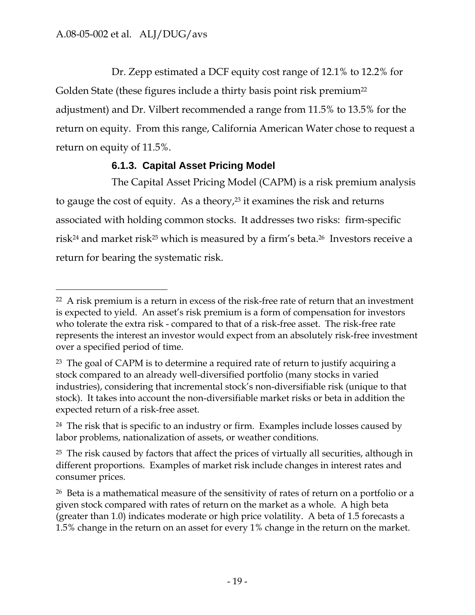$\overline{a}$ 

Dr. Zepp estimated a DCF equity cost range of 12.1% to 12.2% for Golden State (these figures include a thirty basis point risk premium<sup>22</sup> adjustment) and Dr. Vilbert recommended a range from 11.5% to 13.5% for the return on equity. From this range, California American Water chose to request a return on equity of 11.5%.

## **6.1.3. Capital Asset Pricing Model**

The Capital Asset Pricing Model (CAPM) is a risk premium analysis to gauge the cost of equity. As a theory,<sup>23</sup> it examines the risk and returns associated with holding common stocks. It addresses two risks: firm-specific risk24 and market risk25 which is measured by a firm's beta.26 Investors receive a return for bearing the systematic risk.

<sup>&</sup>lt;sup>22</sup> A risk premium is a return in excess of the risk-free rate of return that an investment is expected to yield. An asset's risk premium is a form of compensation for investors who tolerate the extra risk - compared to that of a risk-free asset. The risk-free rate represents the interest an investor would expect from an absolutely risk-free investment over a specified period of time.

<sup>&</sup>lt;sup>23</sup> The goal of CAPM is to determine a required rate of return to justify acquiring a stock compared to an already well-diversified portfolio (many stocks in varied industries), considering that incremental stock's non-diversifiable risk (unique to that stock). It takes into account the non-diversifiable market risks or beta in addition the expected return of a risk-free asset.

<sup>&</sup>lt;sup>24</sup> The risk that is specific to an industry or firm. Examples include losses caused by labor problems, nationalization of assets, or weather conditions.

 $25$  The risk caused by factors that affect the prices of virtually all securities, although in different proportions. Examples of market risk include changes in interest rates and consumer prices.

<sup>&</sup>lt;sup>26</sup> Beta is a mathematical measure of the sensitivity of rates of return on a portfolio or a given stock compared with rates of return on the market as a whole. A high beta (greater than 1.0) indicates moderate or high price volatility. A beta of 1.5 forecasts a 1.5% change in the return on an asset for every 1% change in the return on the market.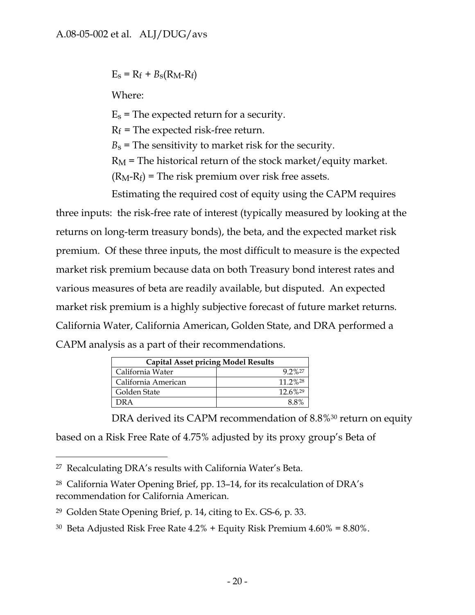$E_s = R_f + B_s(R_M - R_f)$ 

Where:

 $E_s$  = The expected return for a security.

 $R_f$  = The expected risk-free return.

 $B_s$  = The sensitivity to market risk for the security.

 $R_M$  = The historical return of the stock market/equity market.

 $(R_M-R_f)$  = The risk premium over risk free assets.

Estimating the required cost of equity using the CAPM requires three inputs: the risk-free rate of interest (typically measured by looking at the returns on long-term treasury bonds), the beta, and the expected market risk premium. Of these three inputs, the most difficult to measure is the expected market risk premium because data on both Treasury bond interest rates and various measures of beta are readily available, but disputed. An expected market risk premium is a highly subjective forecast of future market returns. California Water, California American, Golden State, and DRA performed a CAPM analysis as a part of their recommendations.

| <b>Capital Asset pricing Model Results</b> |           |
|--------------------------------------------|-----------|
| California Water                           | $9.2\%27$ |
| California American                        | 11.2%28   |
| Golden State                               | 12.6%29   |
| )R A                                       | $8.8\%$   |

DRA derived its CAPM recommendation of 8.8%<sup>30</sup> return on equity based on a Risk Free Rate of 4.75% adjusted by its proxy group's Beta of

 $\overline{a}$ 27 Recalculating DRA's results with California Water's Beta.

<sup>28</sup> California Water Opening Brief, pp. 13–14, for its recalculation of DRA's recommendation for California American.

<sup>29</sup> Golden State Opening Brief, p. 14, citing to Ex. GS-6, p. 33.

<sup>&</sup>lt;sup>30</sup> Beta Adjusted Risk Free Rate  $4.2\%$  + Equity Risk Premium  $4.60\%$  =  $8.80\%$ .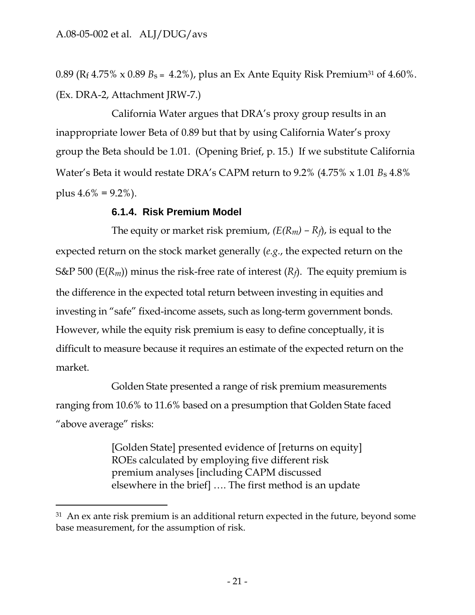-

0.89 ( $R_f$  4.75% x 0.89  $B_s = 4.2$ %), plus an Ex Ante Equity Risk Premium<sup>31</sup> of 4.60%. (Ex. DRA-2, Attachment JRW-7.)

California Water argues that DRA's proxy group results in an inappropriate lower Beta of 0.89 but that by using California Water's proxy group the Beta should be 1.01. (Opening Brief, p. 15.) If we substitute California Water's Beta it would restate DRA's CAPM return to 9.2% (4.75% x 1.01 *B*s 4.8% plus  $4.6\% = 9.2\%$ ).

### **6.1.4. Risk Premium Model**

The equity or market risk premium, *(E(Rm) – Rf*), is equal to the expected return on the stock market generally (*e.g.*, the expected return on the S&P 500 ( $E(R_m)$ ) minus the risk-free rate of interest ( $R_f$ ). The equity premium is the difference in the expected total return between investing in equities and investing in "safe" fixed-income assets, such as long-term government bonds. However, while the equity risk premium is easy to define conceptually, it is difficult to measure because it requires an estimate of the expected return on the market.

Golden State presented a range of risk premium measurements ranging from 10.6% to 11.6% based on a presumption that Golden State faced "above average" risks:

> [Golden State] presented evidence of [returns on equity] ROEs calculated by employing five different risk premium analyses [including CAPM discussed elsewhere in the brief] …. The first method is an update

 $31$  An ex ante risk premium is an additional return expected in the future, beyond some base measurement, for the assumption of risk.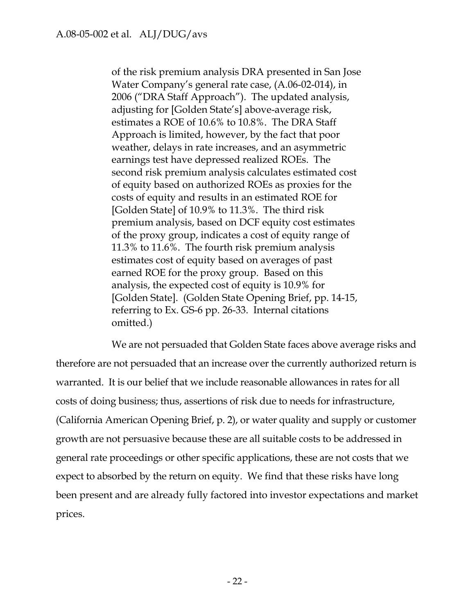of the risk premium analysis DRA presented in San Jose Water Company's general rate case, (A.06-02-014), in 2006 ("DRA Staff Approach"). The updated analysis, adjusting for [Golden State's] above-average risk, estimates a ROE of 10.6% to 10.8%. The DRA Staff Approach is limited, however, by the fact that poor weather, delays in rate increases, and an asymmetric earnings test have depressed realized ROEs. The second risk premium analysis calculates estimated cost of equity based on authorized ROEs as proxies for the costs of equity and results in an estimated ROE for [Golden State] of 10.9% to 11.3%. The third risk premium analysis, based on DCF equity cost estimates of the proxy group, indicates a cost of equity range of 11.3% to 11.6%. The fourth risk premium analysis estimates cost of equity based on averages of past earned ROE for the proxy group. Based on this analysis, the expected cost of equity is 10.9% for [Golden State]. (Golden State Opening Brief, pp. 14-15, referring to Ex. GS-6 pp. 26-33. Internal citations omitted.)

We are not persuaded that Golden State faces above average risks and therefore are not persuaded that an increase over the currently authorized return is warranted. It is our belief that we include reasonable allowances in rates for all costs of doing business; thus, assertions of risk due to needs for infrastructure, (California American Opening Brief, p. 2), or water quality and supply or customer growth are not persuasive because these are all suitable costs to be addressed in general rate proceedings or other specific applications, these are not costs that we expect to absorbed by the return on equity. We find that these risks have long been present and are already fully factored into investor expectations and market prices.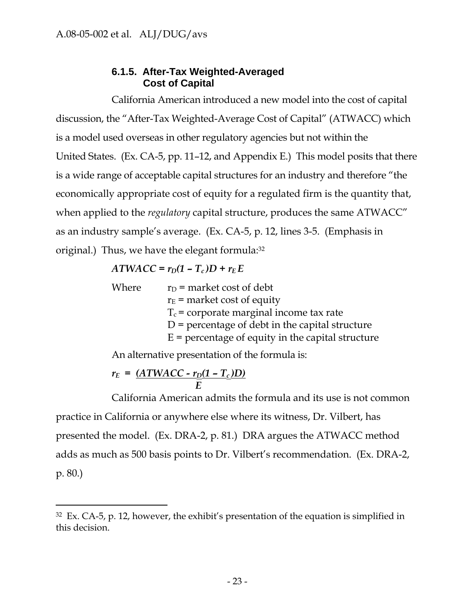## **6.1.5. After-Tax Weighted-Averaged Cost of Capital**

California American introduced a new model into the cost of capital discussion, the "After-Tax Weighted-Average Cost of Capital" (ATWACC) which is a model used overseas in other regulatory agencies but not within the United States. (Ex. CA-5, pp. 11–12, and Appendix E.) This model posits that there is a wide range of acceptable capital structures for an industry and therefore "the economically appropriate cost of equity for a regulated firm is the quantity that, when applied to the *regulatory* capital structure, produces the same ATWACC" as an industry sample's average. (Ex. CA-5, p. 12, lines 3-5. (Emphasis in original.) Thus, we have the elegant formula:32

## $ATWACC = r_D(1 - T_c)D + r_E E$

| Where | $r_D$ = market cost of debt                         |
|-------|-----------------------------------------------------|
|       | $r_E$ = market cost of equity                       |
|       | $T_c$ = corporate marginal income tax rate          |
|       | $D$ = percentage of debt in the capital structure   |
|       | $E =$ percentage of equity in the capital structure |
|       |                                                     |

An alternative presentation of the formula is:

$$
r_E = \frac{(ATWACC - r_D(1 - T_c)D)}{E}
$$

-

California American admits the formula and its use is not common practice in California or anywhere else where its witness, Dr. Vilbert, has presented the model. (Ex. DRA-2, p. 81.) DRA argues the ATWACC method adds as much as 500 basis points to Dr. Vilbert's recommendation. (Ex. DRA-2, p. 80.)

 $32$  Ex. CA-5, p. 12, however, the exhibit's presentation of the equation is simplified in this decision.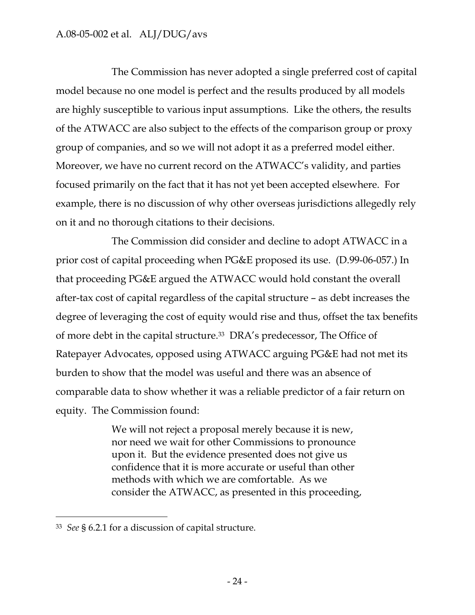The Commission has never adopted a single preferred cost of capital model because no one model is perfect and the results produced by all models are highly susceptible to various input assumptions. Like the others, the results of the ATWACC are also subject to the effects of the comparison group or proxy group of companies, and so we will not adopt it as a preferred model either. Moreover, we have no current record on the ATWACC's validity, and parties focused primarily on the fact that it has not yet been accepted elsewhere. For example, there is no discussion of why other overseas jurisdictions allegedly rely on it and no thorough citations to their decisions.

The Commission did consider and decline to adopt ATWACC in a prior cost of capital proceeding when PG&E proposed its use. (D.99-06-057.) In that proceeding PG&E argued the ATWACC would hold constant the overall after-tax cost of capital regardless of the capital structure – as debt increases the degree of leveraging the cost of equity would rise and thus, offset the tax benefits of more debt in the capital structure.33 DRA's predecessor, The Office of Ratepayer Advocates, opposed using ATWACC arguing PG&E had not met its burden to show that the model was useful and there was an absence of comparable data to show whether it was a reliable predictor of a fair return on equity. The Commission found:

> We will not reject a proposal merely because it is new, nor need we wait for other Commissions to pronounce upon it. But the evidence presented does not give us confidence that it is more accurate or useful than other methods with which we are comfortable. As we consider the ATWACC, as presented in this proceeding,

-

<sup>33</sup> *See* § 6.2.1 for a discussion of capital structure.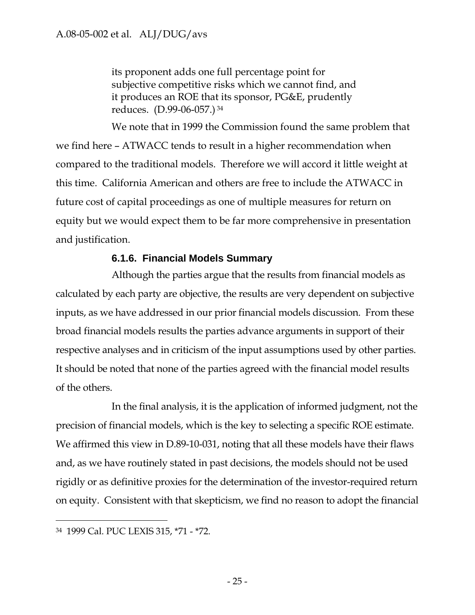its proponent adds one full percentage point for subjective competitive risks which we cannot find, and it produces an ROE that its sponsor, PG&E, prudently reduces. (D.99-06-057.) 34

We note that in 1999 the Commission found the same problem that we find here – ATWACC tends to result in a higher recommendation when compared to the traditional models. Therefore we will accord it little weight at this time. California American and others are free to include the ATWACC in future cost of capital proceedings as one of multiple measures for return on equity but we would expect them to be far more comprehensive in presentation and justification.

## **6.1.6. Financial Models Summary**

Although the parties argue that the results from financial models as calculated by each party are objective, the results are very dependent on subjective inputs, as we have addressed in our prior financial models discussion. From these broad financial models results the parties advance arguments in support of their respective analyses and in criticism of the input assumptions used by other parties. It should be noted that none of the parties agreed with the financial model results of the others.

In the final analysis, it is the application of informed judgment, not the precision of financial models, which is the key to selecting a specific ROE estimate. We affirmed this view in D.89-10-031, noting that all these models have their flaws and, as we have routinely stated in past decisions, the models should not be used rigidly or as definitive proxies for the determination of the investor-required return on equity. Consistent with that skepticism, we find no reason to adopt the financial

-

<sup>34 1999</sup> Cal. PUC LEXIS 315, \*71 - \*72.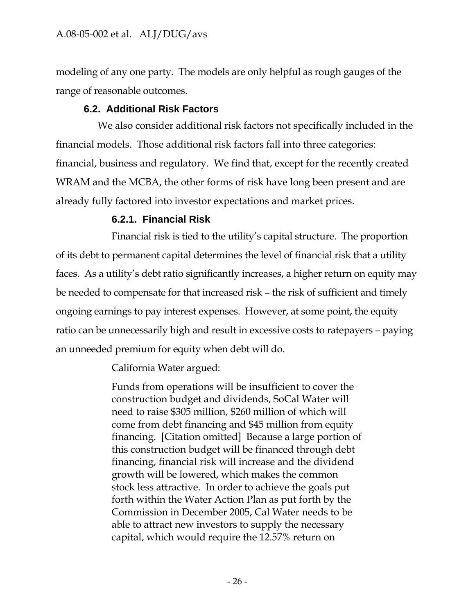modeling of any one party. The models are only helpful as rough gauges of the range of reasonable outcomes.

## **6.2. Additional Risk Factors**

We also consider additional risk factors not specifically included in the financial models. Those additional risk factors fall into three categories: financial, business and regulatory. We find that, except for the recently created WRAM and the MCBA, the other forms of risk have long been present and are already fully factored into investor expectations and market prices.

## **6.2.1. Financial Risk**

Financial risk is tied to the utility's capital structure. The proportion of its debt to permanent capital determines the level of financial risk that a utility faces. As a utility's debt ratio significantly increases, a higher return on equity may be needed to compensate for that increased risk – the risk of sufficient and timely ongoing earnings to pay interest expenses. However, at some point, the equity ratio can be unnecessarily high and result in excessive costs to ratepayers – paying an unneeded premium for equity when debt will do.

California Water argued:

Funds from operations will be insufficient to cover the construction budget and dividends, SoCal Water will need to raise \$305 million, \$260 million of which will come from debt financing and \$45 million from equity financing. [Citation omitted] Because a large portion of this construction budget will be financed through debt financing, financial risk will increase and the dividend growth will be lowered, which makes the common stock less attractive. In order to achieve the goals put forth within the Water Action Plan as put forth by the Commission in December 2005, Cal Water needs to be able to attract new investors to supply the necessary capital, which would require the 12.57% return on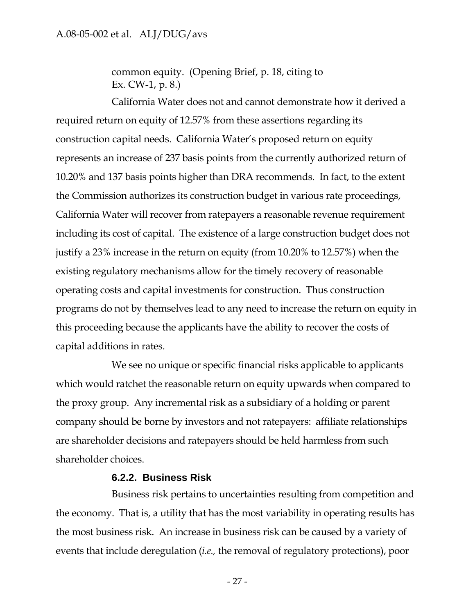common equity. (Opening Brief, p. 18, citing to Ex. CW-1, p. 8.)

California Water does not and cannot demonstrate how it derived a required return on equity of 12.57% from these assertions regarding its construction capital needs. California Water's proposed return on equity represents an increase of 237 basis points from the currently authorized return of 10.20% and 137 basis points higher than DRA recommends. In fact, to the extent the Commission authorizes its construction budget in various rate proceedings, California Water will recover from ratepayers a reasonable revenue requirement including its cost of capital. The existence of a large construction budget does not justify a 23% increase in the return on equity (from 10.20% to 12.57%) when the existing regulatory mechanisms allow for the timely recovery of reasonable operating costs and capital investments for construction. Thus construction programs do not by themselves lead to any need to increase the return on equity in this proceeding because the applicants have the ability to recover the costs of capital additions in rates.

We see no unique or specific financial risks applicable to applicants which would ratchet the reasonable return on equity upwards when compared to the proxy group. Any incremental risk as a subsidiary of a holding or parent company should be borne by investors and not ratepayers: affiliate relationships are shareholder decisions and ratepayers should be held harmless from such shareholder choices.

### **6.2.2. Business Risk**

Business risk pertains to uncertainties resulting from competition and the economy. That is, a utility that has the most variability in operating results has the most business risk. An increase in business risk can be caused by a variety of events that include deregulation (*i.e.,* the removal of regulatory protections), poor

- 27 -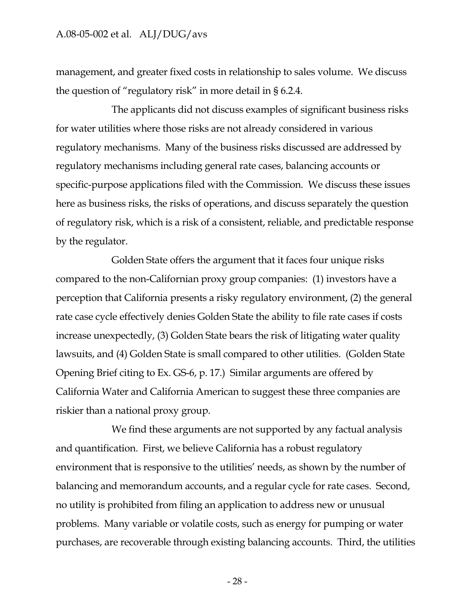management, and greater fixed costs in relationship to sales volume. We discuss the question of "regulatory risk" in more detail in § 6.2.4.

The applicants did not discuss examples of significant business risks for water utilities where those risks are not already considered in various regulatory mechanisms. Many of the business risks discussed are addressed by regulatory mechanisms including general rate cases, balancing accounts or specific-purpose applications filed with the Commission. We discuss these issues here as business risks, the risks of operations, and discuss separately the question of regulatory risk, which is a risk of a consistent, reliable, and predictable response by the regulator.

Golden State offers the argument that it faces four unique risks compared to the non-Californian proxy group companies: (1) investors have a perception that California presents a risky regulatory environment, (2) the general rate case cycle effectively denies Golden State the ability to file rate cases if costs increase unexpectedly, (3) Golden State bears the risk of litigating water quality lawsuits, and (4) Golden State is small compared to other utilities. (Golden State Opening Brief citing to Ex. GS-6, p. 17.) Similar arguments are offered by California Water and California American to suggest these three companies are riskier than a national proxy group.

We find these arguments are not supported by any factual analysis and quantification. First, we believe California has a robust regulatory environment that is responsive to the utilities' needs, as shown by the number of balancing and memorandum accounts, and a regular cycle for rate cases. Second, no utility is prohibited from filing an application to address new or unusual problems. Many variable or volatile costs, such as energy for pumping or water purchases, are recoverable through existing balancing accounts. Third, the utilities

- 28 -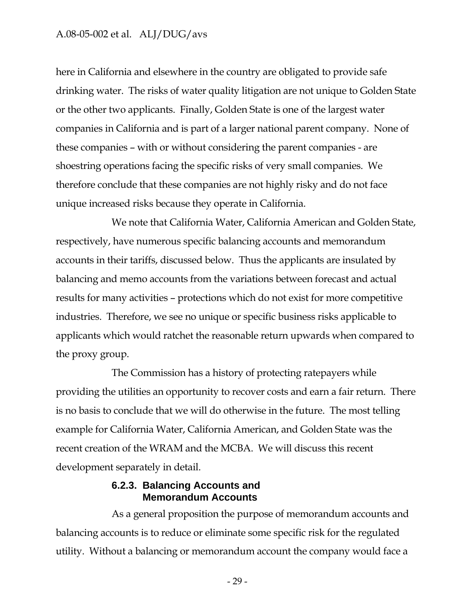here in California and elsewhere in the country are obligated to provide safe drinking water. The risks of water quality litigation are not unique to Golden State or the other two applicants. Finally, Golden State is one of the largest water companies in California and is part of a larger national parent company. None of these companies – with or without considering the parent companies - are shoestring operations facing the specific risks of very small companies. We therefore conclude that these companies are not highly risky and do not face unique increased risks because they operate in California.

We note that California Water, California American and Golden State, respectively, have numerous specific balancing accounts and memorandum accounts in their tariffs, discussed below. Thus the applicants are insulated by balancing and memo accounts from the variations between forecast and actual results for many activities – protections which do not exist for more competitive industries. Therefore, we see no unique or specific business risks applicable to applicants which would ratchet the reasonable return upwards when compared to the proxy group.

The Commission has a history of protecting ratepayers while providing the utilities an opportunity to recover costs and earn a fair return. There is no basis to conclude that we will do otherwise in the future. The most telling example for California Water, California American, and Golden State was the recent creation of the WRAM and the MCBA. We will discuss this recent development separately in detail.

### **6.2.3. Balancing Accounts and Memorandum Accounts**

As a general proposition the purpose of memorandum accounts and balancing accounts is to reduce or eliminate some specific risk for the regulated utility. Without a balancing or memorandum account the company would face a

- 29 -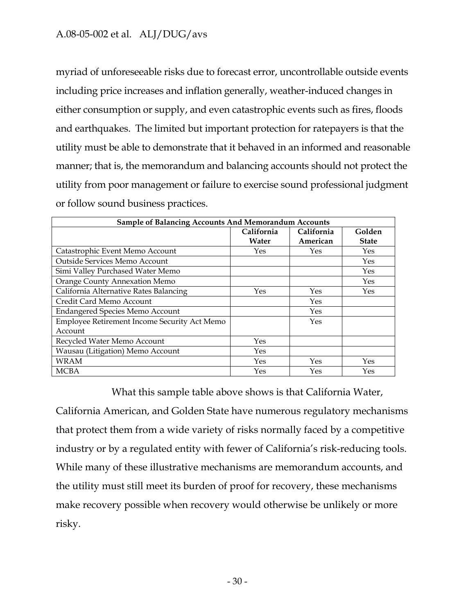myriad of unforeseeable risks due to forecast error, uncontrollable outside events including price increases and inflation generally, weather-induced changes in either consumption or supply, and even catastrophic events such as fires, floods and earthquakes. The limited but important protection for ratepayers is that the utility must be able to demonstrate that it behaved in an informed and reasonable manner; that is, the memorandum and balancing accounts should not protect the utility from poor management or failure to exercise sound professional judgment or follow sound business practices.

| <b>Sample of Balancing Accounts And Memorandum Accounts</b> |            |            |              |  |  |  |
|-------------------------------------------------------------|------------|------------|--------------|--|--|--|
|                                                             | California | California | Golden       |  |  |  |
|                                                             | Water      | American   | <b>State</b> |  |  |  |
| Catastrophic Event Memo Account                             | Yes.       | Yes        | Yes          |  |  |  |
| Outside Services Memo Account                               |            |            | Yes          |  |  |  |
| Simi Valley Purchased Water Memo                            |            |            | Yes          |  |  |  |
| Orange County Annexation Memo                               |            |            | Yes          |  |  |  |
| California Alternative Rates Balancing                      | Yes        | Yes        | Yes          |  |  |  |
| Credit Card Memo Account                                    |            | Yes        |              |  |  |  |
| <b>Endangered Species Memo Account</b>                      |            | Yes        |              |  |  |  |
| Employee Retirement Income Security Act Memo                |            | Yes        |              |  |  |  |
| Account                                                     |            |            |              |  |  |  |
| Recycled Water Memo Account                                 | Yes        |            |              |  |  |  |
| Wausau (Litigation) Memo Account                            | Yes        |            |              |  |  |  |
| <b>WRAM</b>                                                 | Yes        | Yes        | Yes          |  |  |  |
| <b>MCBA</b>                                                 | Yes        | Yes        | Yes          |  |  |  |

What this sample table above shows is that California Water, California American, and Golden State have numerous regulatory mechanisms that protect them from a wide variety of risks normally faced by a competitive industry or by a regulated entity with fewer of California's risk-reducing tools. While many of these illustrative mechanisms are memorandum accounts, and the utility must still meet its burden of proof for recovery, these mechanisms make recovery possible when recovery would otherwise be unlikely or more risky.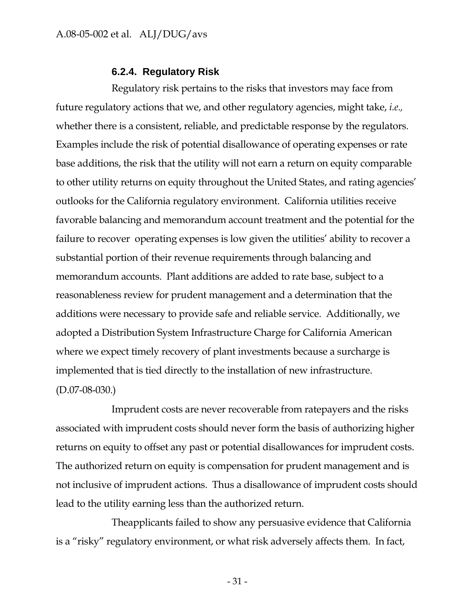### **6.2.4. Regulatory Risk**

Regulatory risk pertains to the risks that investors may face from future regulatory actions that we, and other regulatory agencies, might take, *i.e.,* whether there is a consistent, reliable, and predictable response by the regulators. Examples include the risk of potential disallowance of operating expenses or rate base additions, the risk that the utility will not earn a return on equity comparable to other utility returns on equity throughout the United States, and rating agencies' outlooks for the California regulatory environment. California utilities receive favorable balancing and memorandum account treatment and the potential for the failure to recover operating expenses is low given the utilities' ability to recover a substantial portion of their revenue requirements through balancing and memorandum accounts. Plant additions are added to rate base, subject to a reasonableness review for prudent management and a determination that the additions were necessary to provide safe and reliable service. Additionally, we adopted a Distribution System Infrastructure Charge for California American where we expect timely recovery of plant investments because a surcharge is implemented that is tied directly to the installation of new infrastructure. (D.07-08-030.)

Imprudent costs are never recoverable from ratepayers and the risks associated with imprudent costs should never form the basis of authorizing higher returns on equity to offset any past or potential disallowances for imprudent costs. The authorized return on equity is compensation for prudent management and is not inclusive of imprudent actions. Thus a disallowance of imprudent costs should lead to the utility earning less than the authorized return.

Theapplicants failed to show any persuasive evidence that California is a "risky" regulatory environment, or what risk adversely affects them. In fact,

- 31 -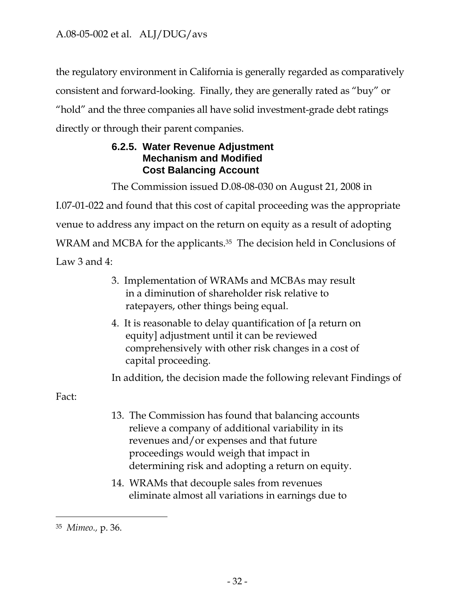the regulatory environment in California is generally regarded as comparatively consistent and forward-looking. Finally, they are generally rated as "buy" or "hold" and the three companies all have solid investment-grade debt ratings directly or through their parent companies.

## **6.2.5. Water Revenue Adjustment Mechanism and Modified Cost Balancing Account**

The Commission issued D.08-08-030 on August 21, 2008 in

I.07-01-022 and found that this cost of capital proceeding was the appropriate venue to address any impact on the return on equity as a result of adopting WRAM and MCBA for the applicants.<sup>35</sup> The decision held in Conclusions of Law 3 and 4:

- 3. Implementation of WRAMs and MCBAs may result in a diminution of shareholder risk relative to ratepayers, other things being equal.
- 4. It is reasonable to delay quantification of [a return on equity] adjustment until it can be reviewed comprehensively with other risk changes in a cost of capital proceeding.

In addition, the decision made the following relevant Findings of

Fact:

 $\overline{a}$ 

- 13. The Commission has found that balancing accounts relieve a company of additional variability in its revenues and/or expenses and that future proceedings would weigh that impact in determining risk and adopting a return on equity.
- 14. WRAMs that decouple sales from revenues eliminate almost all variations in earnings due to

<sup>35</sup> *Mimeo.,* p. 36.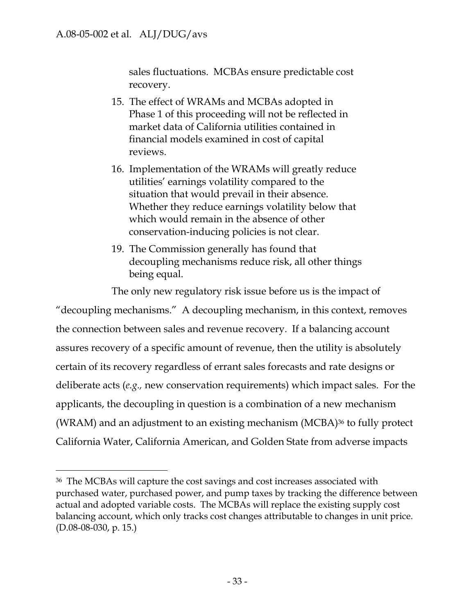$\overline{a}$ 

sales fluctuations. MCBAs ensure predictable cost recovery.

- 15. The effect of WRAMs and MCBAs adopted in Phase 1 of this proceeding will not be reflected in market data of California utilities contained in financial models examined in cost of capital reviews.
- 16. Implementation of the WRAMs will greatly reduce utilities' earnings volatility compared to the situation that would prevail in their absence. Whether they reduce earnings volatility below that which would remain in the absence of other conservation-inducing policies is not clear.
- 19. The Commission generally has found that decoupling mechanisms reduce risk, all other things being equal.

The only new regulatory risk issue before us is the impact of

"decoupling mechanisms." A decoupling mechanism, in this context, removes the connection between sales and revenue recovery. If a balancing account assures recovery of a specific amount of revenue, then the utility is absolutely certain of its recovery regardless of errant sales forecasts and rate designs or deliberate acts (*e.g.,* new conservation requirements) which impact sales. For the applicants, the decoupling in question is a combination of a new mechanism (WRAM) and an adjustment to an existing mechanism (MCBA)36 to fully protect California Water, California American, and Golden State from adverse impacts

<sup>36</sup> The MCBAs will capture the cost savings and cost increases associated with purchased water, purchased power, and pump taxes by tracking the difference between actual and adopted variable costs. The MCBAs will replace the existing supply cost balancing account, which only tracks cost changes attributable to changes in unit price. (D.08-08-030, p. 15.)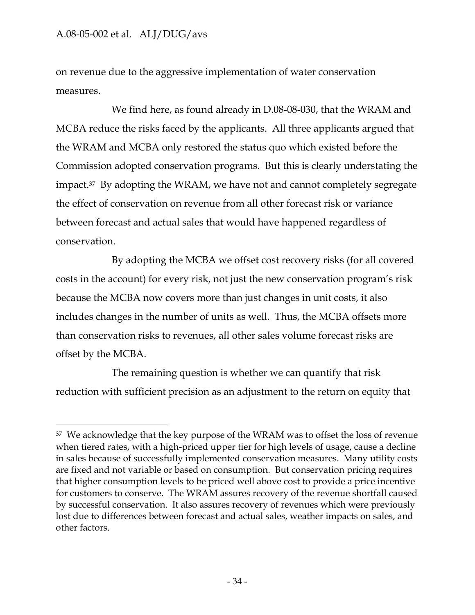$\overline{a}$ 

on revenue due to the aggressive implementation of water conservation measures.

We find here, as found already in D.08-08-030, that the WRAM and MCBA reduce the risks faced by the applicants. All three applicants argued that the WRAM and MCBA only restored the status quo which existed before the Commission adopted conservation programs. But this is clearly understating the impact.37 By adopting the WRAM, we have not and cannot completely segregate the effect of conservation on revenue from all other forecast risk or variance between forecast and actual sales that would have happened regardless of conservation.

By adopting the MCBA we offset cost recovery risks (for all covered costs in the account) for every risk, not just the new conservation program's risk because the MCBA now covers more than just changes in unit costs, it also includes changes in the number of units as well. Thus, the MCBA offsets more than conservation risks to revenues, all other sales volume forecast risks are offset by the MCBA.

The remaining question is whether we can quantify that risk reduction with sufficient precision as an adjustment to the return on equity that

<sup>37</sup> We acknowledge that the key purpose of the WRAM was to offset the loss of revenue when tiered rates, with a high-priced upper tier for high levels of usage, cause a decline in sales because of successfully implemented conservation measures. Many utility costs are fixed and not variable or based on consumption. But conservation pricing requires that higher consumption levels to be priced well above cost to provide a price incentive for customers to conserve. The WRAM assures recovery of the revenue shortfall caused by successful conservation. It also assures recovery of revenues which were previously lost due to differences between forecast and actual sales, weather impacts on sales, and other factors.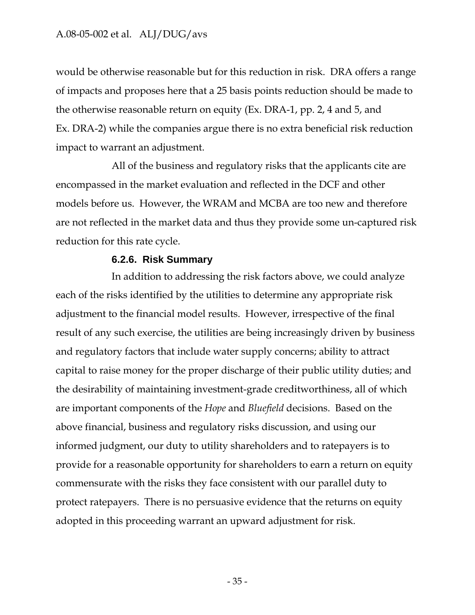would be otherwise reasonable but for this reduction in risk. DRA offers a range of impacts and proposes here that a 25 basis points reduction should be made to the otherwise reasonable return on equity (Ex. DRA-1, pp. 2, 4 and 5, and Ex. DRA-2) while the companies argue there is no extra beneficial risk reduction impact to warrant an adjustment.

All of the business and regulatory risks that the applicants cite are encompassed in the market evaluation and reflected in the DCF and other models before us. However, the WRAM and MCBA are too new and therefore are not reflected in the market data and thus they provide some un-captured risk reduction for this rate cycle.

### **6.2.6. Risk Summary**

In addition to addressing the risk factors above, we could analyze each of the risks identified by the utilities to determine any appropriate risk adjustment to the financial model results. However, irrespective of the final result of any such exercise, the utilities are being increasingly driven by business and regulatory factors that include water supply concerns; ability to attract capital to raise money for the proper discharge of their public utility duties; and the desirability of maintaining investment-grade creditworthiness, all of which are important components of the *Hope* and *Bluefield* decisions. Based on the above financial, business and regulatory risks discussion, and using our informed judgment, our duty to utility shareholders and to ratepayers is to provide for a reasonable opportunity for shareholders to earn a return on equity commensurate with the risks they face consistent with our parallel duty to protect ratepayers. There is no persuasive evidence that the returns on equity adopted in this proceeding warrant an upward adjustment for risk.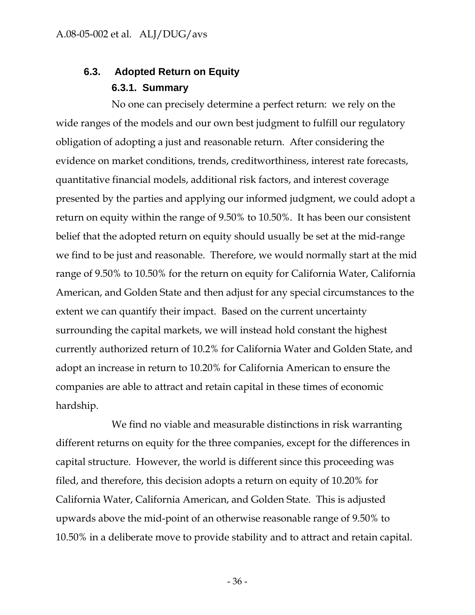## **6.3. Adopted Return on Equity 6.3.1. Summary**

No one can precisely determine a perfect return: we rely on the wide ranges of the models and our own best judgment to fulfill our regulatory obligation of adopting a just and reasonable return. After considering the evidence on market conditions, trends, creditworthiness, interest rate forecasts, quantitative financial models, additional risk factors, and interest coverage presented by the parties and applying our informed judgment, we could adopt a return on equity within the range of 9.50% to 10.50%. It has been our consistent belief that the adopted return on equity should usually be set at the mid-range we find to be just and reasonable. Therefore, we would normally start at the mid range of 9.50% to 10.50% for the return on equity for California Water, California American, and Golden State and then adjust for any special circumstances to the extent we can quantify their impact. Based on the current uncertainty surrounding the capital markets, we will instead hold constant the highest currently authorized return of 10.2% for California Water and Golden State, and adopt an increase in return to 10.20% for California American to ensure the companies are able to attract and retain capital in these times of economic hardship.

We find no viable and measurable distinctions in risk warranting different returns on equity for the three companies, except for the differences in capital structure. However, the world is different since this proceeding was filed, and therefore, this decision adopts a return on equity of 10.20% for California Water, California American, and Golden State. This is adjusted upwards above the mid-point of an otherwise reasonable range of 9.50% to 10.50% in a deliberate move to provide stability and to attract and retain capital.

- 36 -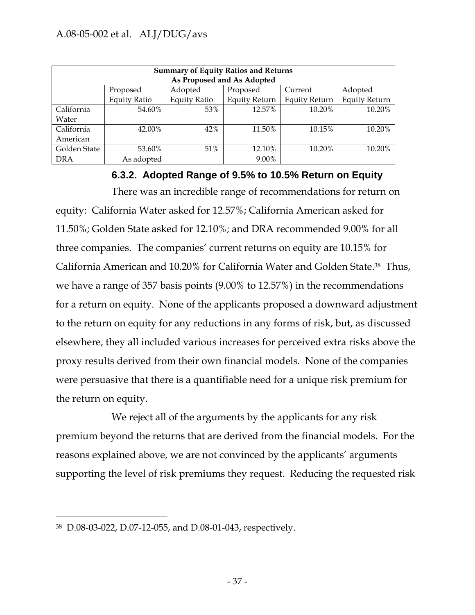| <b>Summary of Equity Ratios and Returns</b><br>As Proposed and As Adopted |                     |                     |                      |                      |                      |  |
|---------------------------------------------------------------------------|---------------------|---------------------|----------------------|----------------------|----------------------|--|
|                                                                           | Proposed            | Adopted             | Proposed             | Current              | Adopted              |  |
|                                                                           | <b>Equity Ratio</b> | <b>Equity Ratio</b> | <b>Equity Return</b> | <b>Equity Return</b> | <b>Equity Return</b> |  |
| California                                                                | 54.60%              | 53%                 | 12.57%               | 10.20%               | 10.20%               |  |
| Water                                                                     |                     |                     |                      |                      |                      |  |
| California                                                                | 42.00%              | 42%                 | 11.50%               | 10.15%               | 10.20%               |  |
| American                                                                  |                     |                     |                      |                      |                      |  |
| Golden State                                                              | 53.60%              | 51%                 | 12.10%               | 10.20%               | 10.20%               |  |
| <b>DRA</b>                                                                | As adopted          |                     | 9.00%                |                      |                      |  |

**6.3.2. Adopted Range of 9.5% to 10.5% Return on Equity** 

There was an incredible range of recommendations for return on equity: California Water asked for 12.57%; California American asked for 11.50%; Golden State asked for 12.10%; and DRA recommended 9.00% for all three companies. The companies' current returns on equity are 10.15% for California American and 10.20% for California Water and Golden State.38 Thus, we have a range of 357 basis points (9.00% to 12.57%) in the recommendations for a return on equity. None of the applicants proposed a downward adjustment to the return on equity for any reductions in any forms of risk, but, as discussed elsewhere, they all included various increases for perceived extra risks above the proxy results derived from their own financial models. None of the companies were persuasive that there is a quantifiable need for a unique risk premium for the return on equity.

We reject all of the arguments by the applicants for any risk premium beyond the returns that are derived from the financial models. For the reasons explained above, we are not convinced by the applicants' arguments supporting the level of risk premiums they request. Reducing the requested risk

 $\overline{a}$ 

<sup>38</sup> D.08-03-022, D.07-12-055, and D.08-01-043, respectively.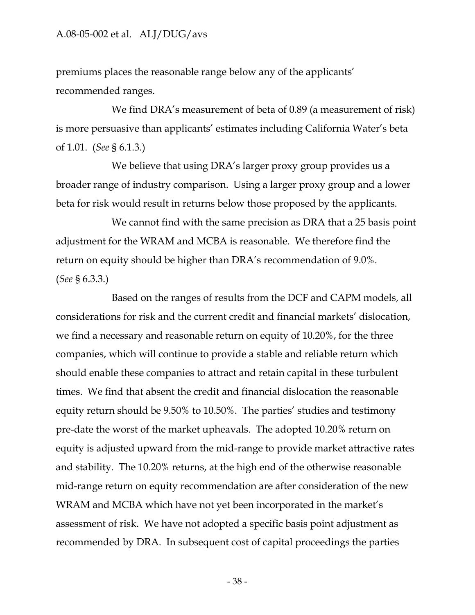premiums places the reasonable range below any of the applicants' recommended ranges.

We find DRA's measurement of beta of 0.89 (a measurement of risk) is more persuasive than applicants' estimates including California Water's beta of 1.01. (*See* § 6.1.3.)

We believe that using DRA's larger proxy group provides us a broader range of industry comparison. Using a larger proxy group and a lower beta for risk would result in returns below those proposed by the applicants.

We cannot find with the same precision as DRA that a 25 basis point adjustment for the WRAM and MCBA is reasonable. We therefore find the return on equity should be higher than DRA's recommendation of 9.0%. (*See* § 6.3.3.)

Based on the ranges of results from the DCF and CAPM models, all considerations for risk and the current credit and financial markets' dislocation, we find a necessary and reasonable return on equity of 10.20%, for the three companies, which will continue to provide a stable and reliable return which should enable these companies to attract and retain capital in these turbulent times. We find that absent the credit and financial dislocation the reasonable equity return should be 9.50% to 10.50%. The parties' studies and testimony pre-date the worst of the market upheavals. The adopted 10.20% return on equity is adjusted upward from the mid-range to provide market attractive rates and stability. The 10.20% returns, at the high end of the otherwise reasonable mid-range return on equity recommendation are after consideration of the new WRAM and MCBA which have not yet been incorporated in the market's assessment of risk. We have not adopted a specific basis point adjustment as recommended by DRA. In subsequent cost of capital proceedings the parties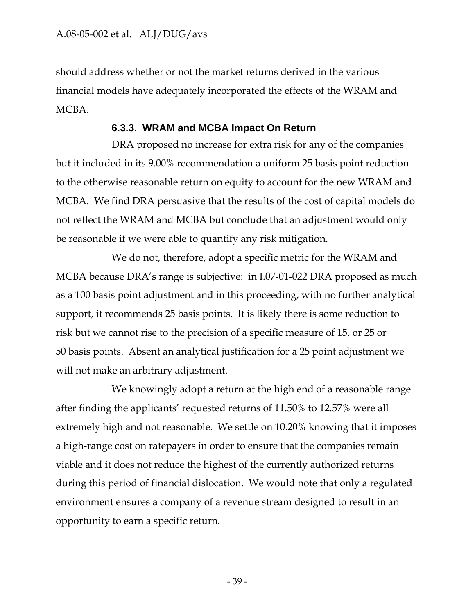should address whether or not the market returns derived in the various financial models have adequately incorporated the effects of the WRAM and MCBA.

### **6.3.3. WRAM and MCBA Impact On Return**

DRA proposed no increase for extra risk for any of the companies but it included in its 9.00% recommendation a uniform 25 basis point reduction to the otherwise reasonable return on equity to account for the new WRAM and MCBA. We find DRA persuasive that the results of the cost of capital models do not reflect the WRAM and MCBA but conclude that an adjustment would only be reasonable if we were able to quantify any risk mitigation.

We do not, therefore, adopt a specific metric for the WRAM and MCBA because DRA's range is subjective: in I.07-01-022 DRA proposed as much as a 100 basis point adjustment and in this proceeding, with no further analytical support, it recommends 25 basis points. It is likely there is some reduction to risk but we cannot rise to the precision of a specific measure of 15, or 25 or 50 basis points. Absent an analytical justification for a 25 point adjustment we will not make an arbitrary adjustment.

We knowingly adopt a return at the high end of a reasonable range after finding the applicants' requested returns of 11.50% to 12.57% were all extremely high and not reasonable. We settle on 10.20% knowing that it imposes a high-range cost on ratepayers in order to ensure that the companies remain viable and it does not reduce the highest of the currently authorized returns during this period of financial dislocation. We would note that only a regulated environment ensures a company of a revenue stream designed to result in an opportunity to earn a specific return.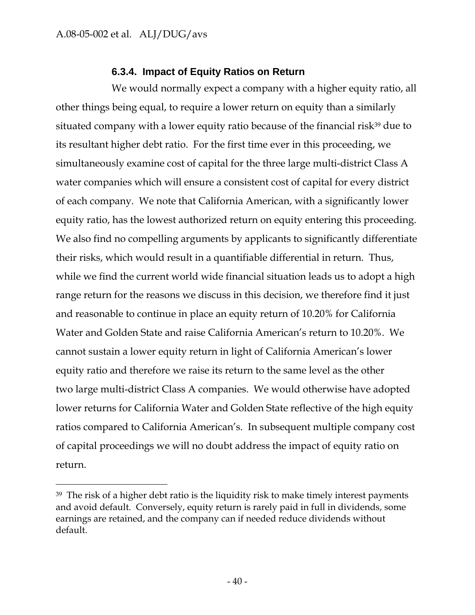-

## **6.3.4. Impact of Equity Ratios on Return**

We would normally expect a company with a higher equity ratio, all other things being equal, to require a lower return on equity than a similarly situated company with a lower equity ratio because of the financial risk<sup>39</sup> due to its resultant higher debt ratio. For the first time ever in this proceeding, we simultaneously examine cost of capital for the three large multi-district Class A water companies which will ensure a consistent cost of capital for every district of each company. We note that California American, with a significantly lower equity ratio, has the lowest authorized return on equity entering this proceeding. We also find no compelling arguments by applicants to significantly differentiate their risks, which would result in a quantifiable differential in return. Thus, while we find the current world wide financial situation leads us to adopt a high range return for the reasons we discuss in this decision, we therefore find it just and reasonable to continue in place an equity return of 10.20% for California Water and Golden State and raise California American's return to 10.20%. We cannot sustain a lower equity return in light of California American's lower equity ratio and therefore we raise its return to the same level as the other two large multi-district Class A companies. We would otherwise have adopted lower returns for California Water and Golden State reflective of the high equity ratios compared to California American's. In subsequent multiple company cost of capital proceedings we will no doubt address the impact of equity ratio on return.

<sup>&</sup>lt;sup>39</sup> The risk of a higher debt ratio is the liquidity risk to make timely interest payments and avoid default. Conversely, equity return is rarely paid in full in dividends, some earnings are retained, and the company can if needed reduce dividends without default.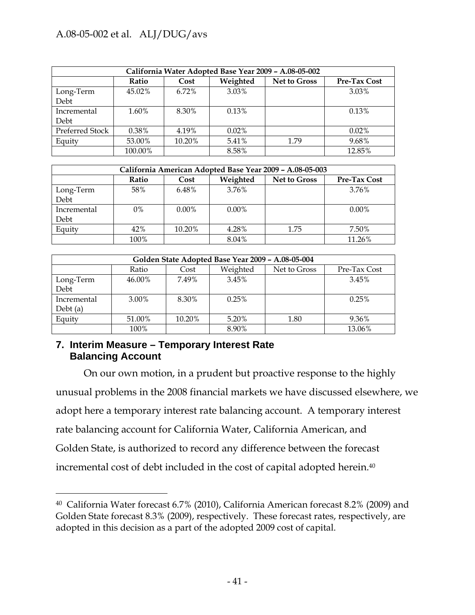| California Water Adopted Base Year 2009 - A.08-05-002 |          |        |          |                     |              |  |  |
|-------------------------------------------------------|----------|--------|----------|---------------------|--------------|--|--|
|                                                       | Ratio    | Cost   | Weighted | <b>Net to Gross</b> | Pre-Tax Cost |  |  |
| Long-Term<br>Debt                                     | 45.02%   | 6.72%  | 3.03%    |                     | 3.03%        |  |  |
| Incremental<br>Debt                                   | 1.60%    | 8.30%  | $0.13\%$ |                     | 0.13%        |  |  |
| Preferred Stock                                       | $0.38\%$ | 4.19%  | 0.02%    |                     | $0.02\%$     |  |  |
| Equity                                                | 53.00%   | 10.20% | 5.41%    | 1.79                | 9.68%        |  |  |
|                                                       | 100.00%  |        | 8.58%    |                     | 12.85%       |  |  |

| California American Adopted Base Year 2009 - A.08-05-003 |       |          |          |                     |              |  |  |
|----------------------------------------------------------|-------|----------|----------|---------------------|--------------|--|--|
|                                                          | Ratio | Cost     | Weighted | <b>Net to Gross</b> | Pre-Tax Cost |  |  |
| Long-Term<br>Debt                                        | 58%   | 6.48%    | 3.76%    |                     | 3.76%        |  |  |
| Incremental<br>Debt                                      | $0\%$ | $0.00\%$ | $0.00\%$ |                     | $0.00\%$     |  |  |
| Equity                                                   | 42%   | 10.20%   | 4.28%    | 1.75                | 7.50%        |  |  |
|                                                          | 100%  |          | 8.04%    |                     | 11.26%       |  |  |

| Golden State Adopted Base Year 2009 - A.08-05-004 |        |        |          |              |              |  |
|---------------------------------------------------|--------|--------|----------|--------------|--------------|--|
|                                                   | Ratio  | Cost   | Weighted | Net to Gross | Pre-Tax Cost |  |
| Long-Term                                         | 46.00% | 7.49%  | 3.45%    |              | 3.45%        |  |
| Debt                                              |        |        |          |              |              |  |
| Incremental                                       | 3.00%  | 8.30%  | 0.25%    |              | 0.25%        |  |
| Debt $(a)$                                        |        |        |          |              |              |  |
| Equity                                            | 51.00% | 10.20% | 5.20%    | 1.80         | 9.36%        |  |
|                                                   | 100%   |        | 8.90%    |              | 13.06%       |  |

## **7. Interim Measure – Temporary Interest Rate Balancing Account**

 $\overline{a}$ 

On our own motion, in a prudent but proactive response to the highly unusual problems in the 2008 financial markets we have discussed elsewhere, we adopt here a temporary interest rate balancing account. A temporary interest rate balancing account for California Water, California American, and Golden State, is authorized to record any difference between the forecast incremental cost of debt included in the cost of capital adopted herein.40

<sup>40</sup> California Water forecast 6.7% (2010), California American forecast 8.2% (2009) and Golden State forecast 8.3% (2009), respectively. These forecast rates, respectively, are adopted in this decision as a part of the adopted 2009 cost of capital.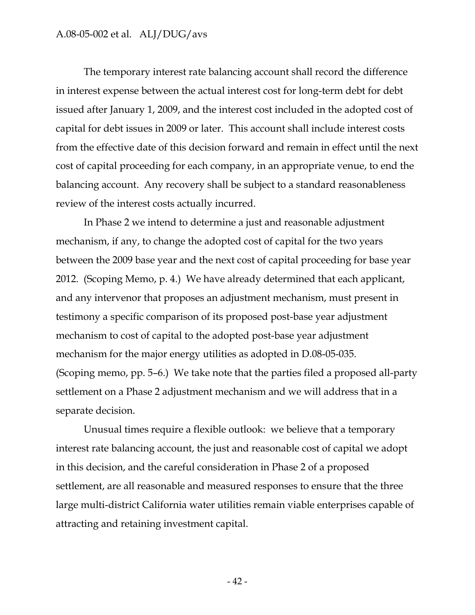The temporary interest rate balancing account shall record the difference in interest expense between the actual interest cost for long-term debt for debt issued after January 1, 2009, and the interest cost included in the adopted cost of capital for debt issues in 2009 or later. This account shall include interest costs from the effective date of this decision forward and remain in effect until the next cost of capital proceeding for each company, in an appropriate venue, to end the balancing account. Any recovery shall be subject to a standard reasonableness review of the interest costs actually incurred.

In Phase 2 we intend to determine a just and reasonable adjustment mechanism, if any, to change the adopted cost of capital for the two years between the 2009 base year and the next cost of capital proceeding for base year 2012. (Scoping Memo, p. 4.) We have already determined that each applicant, and any intervenor that proposes an adjustment mechanism, must present in testimony a specific comparison of its proposed post-base year adjustment mechanism to cost of capital to the adopted post-base year adjustment mechanism for the major energy utilities as adopted in D.08-05-035. (Scoping memo, pp. 5–6.) We take note that the parties filed a proposed all-party settlement on a Phase 2 adjustment mechanism and we will address that in a separate decision.

Unusual times require a flexible outlook: we believe that a temporary interest rate balancing account, the just and reasonable cost of capital we adopt in this decision, and the careful consideration in Phase 2 of a proposed settlement, are all reasonable and measured responses to ensure that the three large multi-district California water utilities remain viable enterprises capable of attracting and retaining investment capital.

- 42 -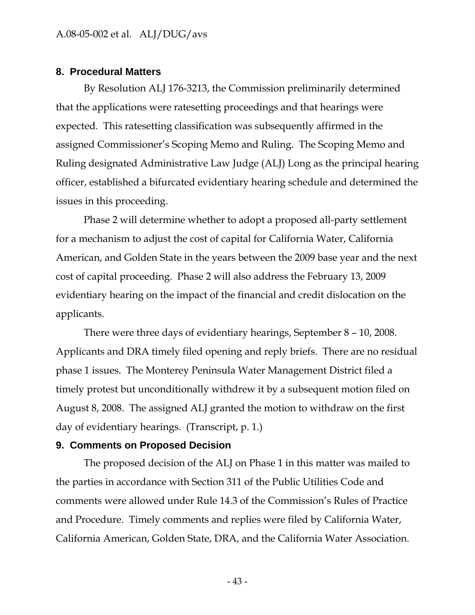### **8. Procedural Matters**

By Resolution ALJ 176-3213, the Commission preliminarily determined that the applications were ratesetting proceedings and that hearings were expected. This ratesetting classification was subsequently affirmed in the assigned Commissioner's Scoping Memo and Ruling. The Scoping Memo and Ruling designated Administrative Law Judge (ALJ) Long as the principal hearing officer, established a bifurcated evidentiary hearing schedule and determined the issues in this proceeding.

Phase 2 will determine whether to adopt a proposed all-party settlement for a mechanism to adjust the cost of capital for California Water, California American, and Golden State in the years between the 2009 base year and the next cost of capital proceeding. Phase 2 will also address the February 13, 2009 evidentiary hearing on the impact of the financial and credit dislocation on the applicants.

There were three days of evidentiary hearings, September 8 – 10, 2008. Applicants and DRA timely filed opening and reply briefs. There are no residual phase 1 issues. The Monterey Peninsula Water Management District filed a timely protest but unconditionally withdrew it by a subsequent motion filed on August 8, 2008. The assigned ALJ granted the motion to withdraw on the first day of evidentiary hearings. (Transcript, p. 1.)

### **9. Comments on Proposed Decision**

The proposed decision of the ALJ on Phase 1 in this matter was mailed to the parties in accordance with Section 311 of the Public Utilities Code and comments were allowed under Rule 14.3 of the Commission's Rules of Practice and Procedure. Timely comments and replies were filed by California Water, California American, Golden State, DRA, and the California Water Association.

- 43 -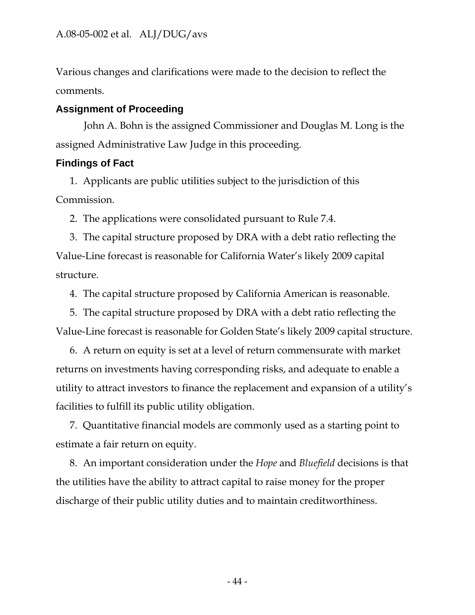Various changes and clarifications were made to the decision to reflect the comments.

## **Assignment of Proceeding**

John A. Bohn is the assigned Commissioner and Douglas M. Long is the assigned Administrative Law Judge in this proceeding.

## **Findings of Fact**

1. Applicants are public utilities subject to the jurisdiction of this Commission.

2. The applications were consolidated pursuant to Rule 7.4.

3. The capital structure proposed by DRA with a debt ratio reflecting the Value-Line forecast is reasonable for California Water's likely 2009 capital structure.

4. The capital structure proposed by California American is reasonable.

5. The capital structure proposed by DRA with a debt ratio reflecting the Value-Line forecast is reasonable for Golden State's likely 2009 capital structure.

6. A return on equity is set at a level of return commensurate with market returns on investments having corresponding risks, and adequate to enable a utility to attract investors to finance the replacement and expansion of a utility's facilities to fulfill its public utility obligation.

7. Quantitative financial models are commonly used as a starting point to estimate a fair return on equity.

8. An important consideration under the *Hope* and *Bluefield* decisions is that the utilities have the ability to attract capital to raise money for the proper discharge of their public utility duties and to maintain creditworthiness.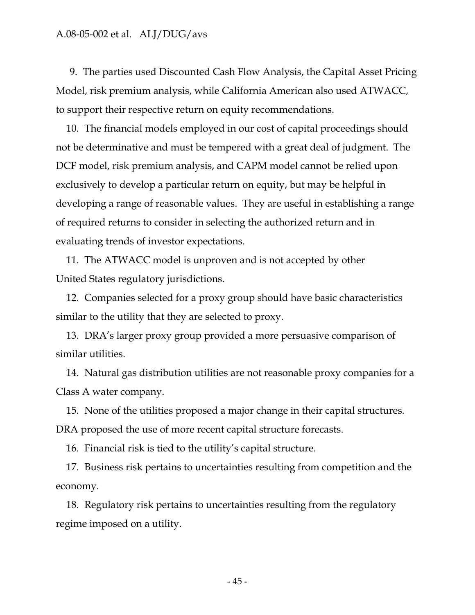9. The parties used Discounted Cash Flow Analysis, the Capital Asset Pricing Model, risk premium analysis, while California American also used ATWACC, to support their respective return on equity recommendations.

10. The financial models employed in our cost of capital proceedings should not be determinative and must be tempered with a great deal of judgment. The DCF model, risk premium analysis, and CAPM model cannot be relied upon exclusively to develop a particular return on equity, but may be helpful in developing a range of reasonable values. They are useful in establishing a range of required returns to consider in selecting the authorized return and in evaluating trends of investor expectations.

11. The ATWACC model is unproven and is not accepted by other United States regulatory jurisdictions.

12. Companies selected for a proxy group should have basic characteristics similar to the utility that they are selected to proxy.

13. DRA's larger proxy group provided a more persuasive comparison of similar utilities.

14. Natural gas distribution utilities are not reasonable proxy companies for a Class A water company.

15. None of the utilities proposed a major change in their capital structures. DRA proposed the use of more recent capital structure forecasts.

16. Financial risk is tied to the utility's capital structure.

17. Business risk pertains to uncertainties resulting from competition and the economy.

18. Regulatory risk pertains to uncertainties resulting from the regulatory regime imposed on a utility.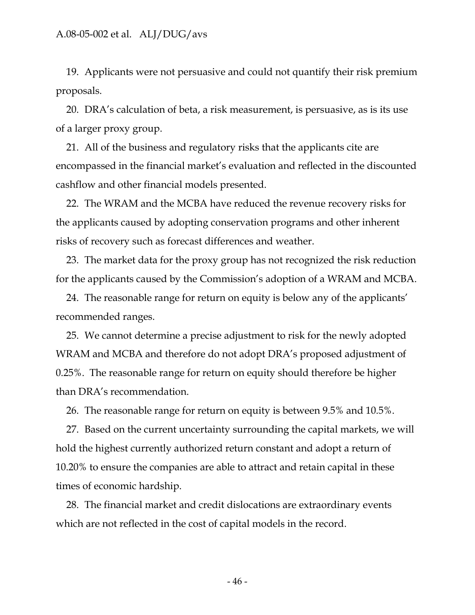19. Applicants were not persuasive and could not quantify their risk premium proposals.

20. DRA's calculation of beta, a risk measurement, is persuasive, as is its use of a larger proxy group.

21. All of the business and regulatory risks that the applicants cite are encompassed in the financial market's evaluation and reflected in the discounted cashflow and other financial models presented.

22. The WRAM and the MCBA have reduced the revenue recovery risks for the applicants caused by adopting conservation programs and other inherent risks of recovery such as forecast differences and weather.

23. The market data for the proxy group has not recognized the risk reduction for the applicants caused by the Commission's adoption of a WRAM and MCBA.

24. The reasonable range for return on equity is below any of the applicants' recommended ranges.

25. We cannot determine a precise adjustment to risk for the newly adopted WRAM and MCBA and therefore do not adopt DRA's proposed adjustment of 0.25%. The reasonable range for return on equity should therefore be higher than DRA's recommendation.

26. The reasonable range for return on equity is between 9.5% and 10.5%.

27. Based on the current uncertainty surrounding the capital markets, we will hold the highest currently authorized return constant and adopt a return of 10.20% to ensure the companies are able to attract and retain capital in these times of economic hardship.

28. The financial market and credit dislocations are extraordinary events which are not reflected in the cost of capital models in the record.

- 46 -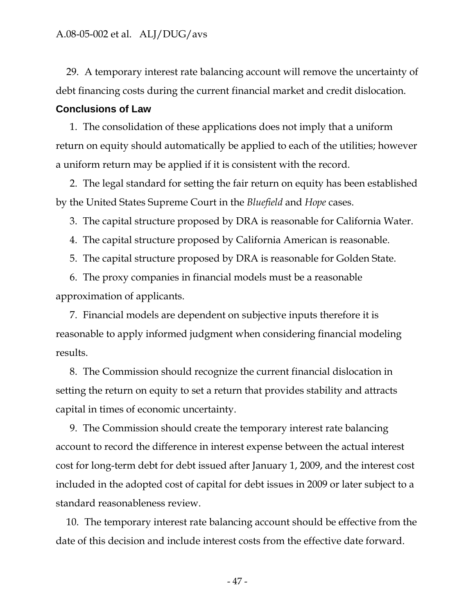29. A temporary interest rate balancing account will remove the uncertainty of debt financing costs during the current financial market and credit dislocation.

### **Conclusions of Law**

1. The consolidation of these applications does not imply that a uniform return on equity should automatically be applied to each of the utilities; however a uniform return may be applied if it is consistent with the record.

2. The legal standard for setting the fair return on equity has been established by the United States Supreme Court in the *Bluefield* and *Hope* cases.

3. The capital structure proposed by DRA is reasonable for California Water.

4. The capital structure proposed by California American is reasonable.

5. The capital structure proposed by DRA is reasonable for Golden State.

6. The proxy companies in financial models must be a reasonable approximation of applicants.

7. Financial models are dependent on subjective inputs therefore it is reasonable to apply informed judgment when considering financial modeling results.

8. The Commission should recognize the current financial dislocation in setting the return on equity to set a return that provides stability and attracts capital in times of economic uncertainty.

9. The Commission should create the temporary interest rate balancing account to record the difference in interest expense between the actual interest cost for long-term debt for debt issued after January 1, 2009, and the interest cost included in the adopted cost of capital for debt issues in 2009 or later subject to a standard reasonableness review.

10. The temporary interest rate balancing account should be effective from the date of this decision and include interest costs from the effective date forward.

- 47 -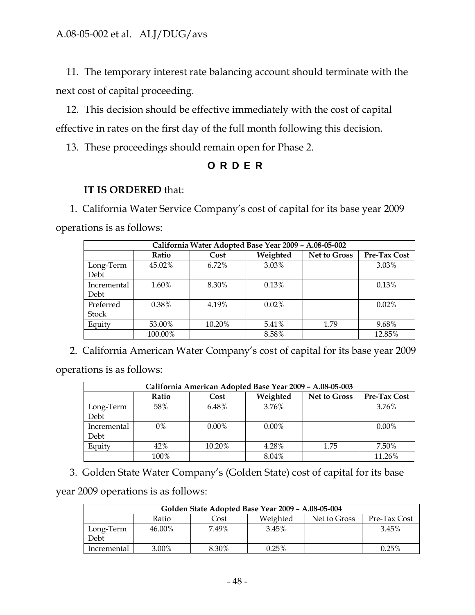11. The temporary interest rate balancing account should terminate with the next cost of capital proceeding.

12. This decision should be effective immediately with the cost of capital effective in rates on the first day of the full month following this decision.

13. These proceedings should remain open for Phase 2.

## **ORDER**

## **IT IS ORDERED** that:

1. California Water Service Company's cost of capital for its base year 2009 operations is as follows:

| California Water Adopted Base Year 2009 - A.08-05-002 |         |        |          |                     |              |  |
|-------------------------------------------------------|---------|--------|----------|---------------------|--------------|--|
|                                                       | Ratio   | Cost   | Weighted | <b>Net to Gross</b> | Pre-Tax Cost |  |
| Long-Term<br>Debt                                     | 45.02%  | 6.72%  | 3.03%    |                     | 3.03%        |  |
| Incremental<br>Debt                                   | 1.60%   | 8.30%  | 0.13%    |                     | 0.13%        |  |
| Preferred<br><b>Stock</b>                             | 0.38%   | 4.19%  | $0.02\%$ |                     | 0.02%        |  |
| Equity                                                | 53.00%  | 10.20% | 5.41%    | 1.79                | 9.68%        |  |
|                                                       | 100.00% |        | 8.58%    |                     | 12.85%       |  |

2. California American Water Company's cost of capital for its base year 2009

operations is as follows:

| California American Adopted Base Year 2009 - A.08-05-003 |       |          |          |                     |                     |  |
|----------------------------------------------------------|-------|----------|----------|---------------------|---------------------|--|
|                                                          | Ratio | Cost     | Weighted | <b>Net to Gross</b> | <b>Pre-Tax Cost</b> |  |
| Long-Term<br>Debt                                        | 58%   | 6.48%    | $3.76\%$ |                     | 3.76%               |  |
| Incremental<br>Debt                                      | $0\%$ | $0.00\%$ | $0.00\%$ |                     | $0.00\%$            |  |
| Equity                                                   | 42%   | 10.20%   | 4.28%    | 1.75                | 7.50%               |  |
|                                                          | 100%  |          | 8.04%    |                     | 11.26%              |  |

3. Golden State Water Company's (Golden State) cost of capital for its base

year 2009 operations is as follows:

| Golden State Adopted Base Year 2009 - A.08-05-004         |        |       |          |  |       |  |  |
|-----------------------------------------------------------|--------|-------|----------|--|-------|--|--|
| Weighted<br>Net to Gross<br>Pre-Tax Cost<br>Ratio<br>Cost |        |       |          |  |       |  |  |
| Long-Term<br>Debt                                         | 46.00% | 7.49% | 3.45%    |  | 3.45% |  |  |
| Incremental                                               | 3.00%  | 8.30% | $0.25\%$ |  | 0.25% |  |  |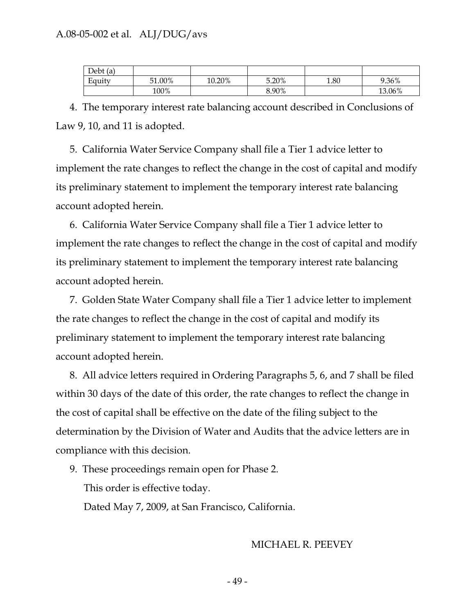| Debt(a)                  |        |        |       |      |        |
|--------------------------|--------|--------|-------|------|--------|
| $\blacksquare$<br>Equity | 51.00% | 10.20% | 5.20% | 1.80 | 9.36%  |
|                          | 100%   |        | 8.90% |      | 13.06% |

4. The temporary interest rate balancing account described in Conclusions of Law 9, 10, and 11 is adopted.

5. California Water Service Company shall file a Tier 1 advice letter to implement the rate changes to reflect the change in the cost of capital and modify its preliminary statement to implement the temporary interest rate balancing account adopted herein.

6. California Water Service Company shall file a Tier 1 advice letter to implement the rate changes to reflect the change in the cost of capital and modify its preliminary statement to implement the temporary interest rate balancing account adopted herein.

7. Golden State Water Company shall file a Tier 1 advice letter to implement the rate changes to reflect the change in the cost of capital and modify its preliminary statement to implement the temporary interest rate balancing account adopted herein.

8. All advice letters required in Ordering Paragraphs 5, 6, and 7 shall be filed within 30 days of the date of this order, the rate changes to reflect the change in the cost of capital shall be effective on the date of the filing subject to the determination by the Division of Water and Audits that the advice letters are in compliance with this decision.

9. These proceedings remain open for Phase 2.

This order is effective today.

Dated May 7, 2009, at San Francisco, California.

### MICHAEL R. PEEVEY